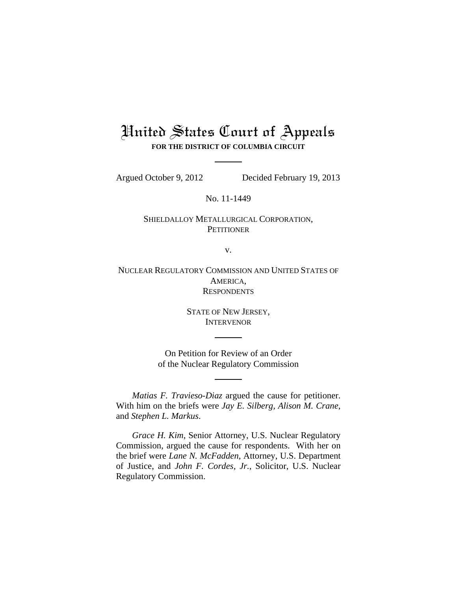# United States Court of Appeals **FOR THE DISTRICT OF COLUMBIA CIRCUIT**

Argued October 9, 2012 Decided February 19, 2013

No. 11-1449

## SHIELDALLOY METALLURGICAL CORPORATION, **PETITIONER**

v.

NUCLEAR REGULATORY COMMISSION AND UNITED STATES OF AMERICA, **RESPONDENTS** 

> STATE OF NEW JERSEY, **INTERVENOR**

On Petition for Review of an Order of the Nuclear Regulatory Commission

*Matias F. Travieso-Diaz* argued the cause for petitioner. With him on the briefs were *Jay E. Silberg, Alison M. Crane*, and *Stephen L. Markus*.

*Grace H. Kim*, Senior Attorney, U.S. Nuclear Regulatory Commission, argued the cause for respondents. With her on the brief were *Lane N. McFadden*, Attorney, U.S. Department of Justice, and *John F. Cordes, Jr.*, Solicitor, U.S. Nuclear Regulatory Commission.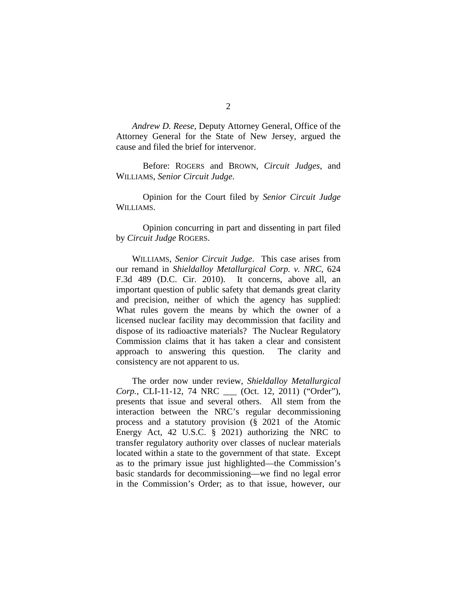*Andrew D. Reese*, Deputy Attorney General, Office of the Attorney General for the State of New Jersey, argued the cause and filed the brief for intervenor.

Before: ROGERS and BROWN, *Circuit Judges*, and WILLIAMS, *Senior Circuit Judge*.

Opinion for the Court filed by *Senior Circuit Judge* WILLIAMS.

Opinion concurring in part and dissenting in part filed by *Circuit Judge* ROGERS.

WILLIAMS, *Senior Circuit Judge*. This case arises from our remand in *Shieldalloy Metallurgical Corp. v. NRC*, 624 F.3d 489 (D.C. Cir. 2010). It concerns, above all, an important question of public safety that demands great clarity and precision, neither of which the agency has supplied: What rules govern the means by which the owner of a licensed nuclear facility may decommission that facility and dispose of its radioactive materials? The Nuclear Regulatory Commission claims that it has taken a clear and consistent approach to answering this question. The clarity and consistency are not apparent to us.

The order now under review, *Shieldalloy Metallurgical Corp.*, CLI-11-12, 74 NRC \_\_\_ (Oct. 12, 2011) ("Order"), presents that issue and several others. All stem from the interaction between the NRC's regular decommissioning process and a statutory provision (§ 2021 of the Atomic Energy Act, 42 U.S.C. § 2021) authorizing the NRC to transfer regulatory authority over classes of nuclear materials located within a state to the government of that state. Except as to the primary issue just highlighted—the Commission's basic standards for decommissioning—we find no legal error in the Commission's Order; as to that issue, however, our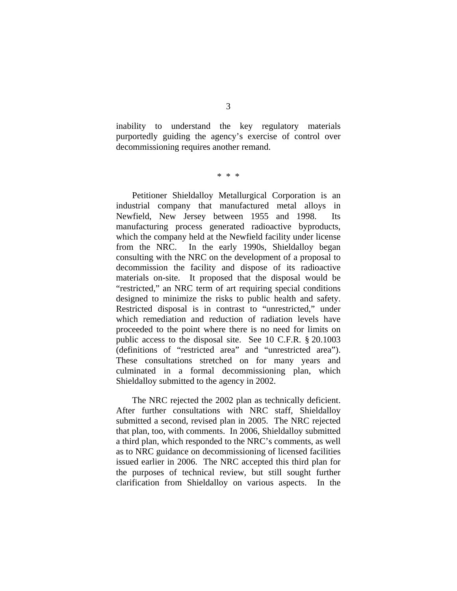inability to understand the key regulatory materials purportedly guiding the agency's exercise of control over decommissioning requires another remand.

\* \* \*

Petitioner Shieldalloy Metallurgical Corporation is an industrial company that manufactured metal alloys in Newfield, New Jersey between 1955 and 1998. Its manufacturing process generated radioactive byproducts, which the company held at the Newfield facility under license from the NRC. In the early 1990s, Shieldalloy began consulting with the NRC on the development of a proposal to decommission the facility and dispose of its radioactive materials on-site. It proposed that the disposal would be "restricted," an NRC term of art requiring special conditions designed to minimize the risks to public health and safety. Restricted disposal is in contrast to "unrestricted," under which remediation and reduction of radiation levels have proceeded to the point where there is no need for limits on public access to the disposal site. See 10 C.F.R. § 20.1003 (definitions of "restricted area" and "unrestricted area"). These consultations stretched on for many years and culminated in a formal decommissioning plan, which Shieldalloy submitted to the agency in 2002.

The NRC rejected the 2002 plan as technically deficient. After further consultations with NRC staff, Shieldalloy submitted a second, revised plan in 2005. The NRC rejected that plan, too, with comments. In 2006, Shieldalloy submitted a third plan, which responded to the NRC's comments, as well as to NRC guidance on decommissioning of licensed facilities issued earlier in 2006. The NRC accepted this third plan for the purposes of technical review, but still sought further clarification from Shieldalloy on various aspects.In the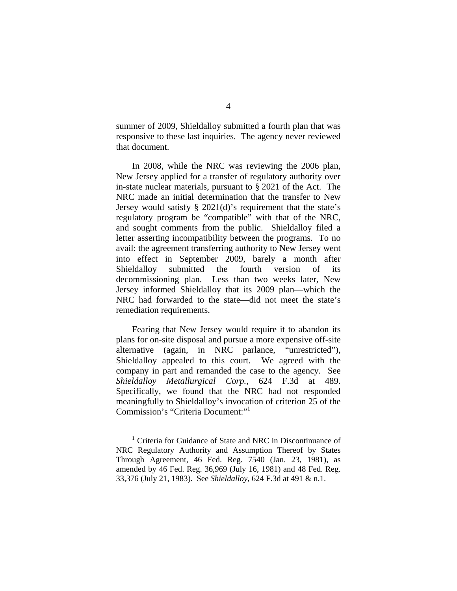summer of 2009, Shieldalloy submitted a fourth plan that was responsive to these last inquiries. The agency never reviewed that document.

In 2008, while the NRC was reviewing the 2006 plan, New Jersey applied for a transfer of regulatory authority over in-state nuclear materials, pursuant to § 2021 of the Act. The NRC made an initial determination that the transfer to New Jersey would satisfy § 2021(d)'s requirement that the state's regulatory program be "compatible" with that of the NRC, and sought comments from the public. Shieldalloy filed a letter asserting incompatibility between the programs. To no avail: the agreement transferring authority to New Jersey went into effect in September 2009, barely a month after Shieldalloy submitted the fourth version of its decommissioning plan. Less than two weeks later, New Jersey informed Shieldalloy that its 2009 plan—which the NRC had forwarded to the state—did not meet the state's remediation requirements.

Fearing that New Jersey would require it to abandon its plans for on-site disposal and pursue a more expensive off-site alternative (again, in NRC parlance, "unrestricted"), Shieldalloy appealed to this court. We agreed with the company in part and remanded the case to the agency. See *Shieldalloy Metallurgical Corp.*, 624 F.3d at 489. Specifically, we found that the NRC had not responded meaningfully to Shieldalloy's invocation of criterion 25 of the Commission's "Criteria Document:"1

 $\overline{\phantom{a}}$  $1$  Criteria for Guidance of State and NRC in Discontinuance of NRC Regulatory Authority and Assumption Thereof by States Through Agreement, 46 Fed. Reg. 7540 (Jan. 23, 1981), as amended by 46 Fed. Reg. 36,969 (July 16, 1981) and 48 Fed. Reg. 33,376 (July 21, 1983). See *Shieldalloy,* 624 F.3d at 491 & n.1.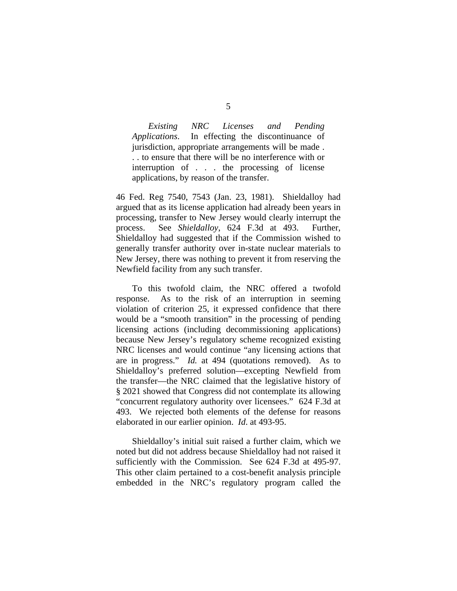*Existing NRC Licenses and Pending Applications*. In effecting the discontinuance of jurisdiction, appropriate arrangements will be made . . . to ensure that there will be no interference with or interruption of . . . the processing of license applications, by reason of the transfer.

46 Fed. Reg 7540, 7543 (Jan. 23, 1981). Shieldalloy had argued that as its license application had already been years in processing, transfer to New Jersey would clearly interrupt the process. See *Shieldalloy*, 624 F.3d at 493. Further, Shieldalloy had suggested that if the Commission wished to generally transfer authority over in-state nuclear materials to New Jersey, there was nothing to prevent it from reserving the Newfield facility from any such transfer.

To this twofold claim, the NRC offered a twofold response. As to the risk of an interruption in seeming violation of criterion 25, it expressed confidence that there would be a "smooth transition" in the processing of pending licensing actions (including decommissioning applications) because New Jersey's regulatory scheme recognized existing NRC licenses and would continue "any licensing actions that are in progress." *Id.* at 494 (quotations removed). As to Shieldalloy's preferred solution—excepting Newfield from the transfer—the NRC claimed that the legislative history of § 2021 showed that Congress did not contemplate its allowing "concurrent regulatory authority over licensees." 624 F.3d at 493. We rejected both elements of the defense for reasons elaborated in our earlier opinion. *Id*. at 493-95.

Shieldalloy's initial suit raised a further claim, which we noted but did not address because Shieldalloy had not raised it sufficiently with the Commission. See 624 F.3d at 495-97. This other claim pertained to a cost-benefit analysis principle embedded in the NRC's regulatory program called the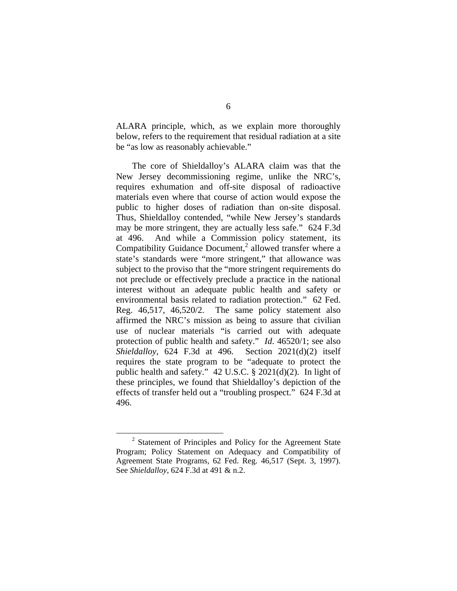ALARA principle, which, as we explain more thoroughly below, refers to the requirement that residual radiation at a site be "as low as reasonably achievable."

The core of Shieldalloy's ALARA claim was that the New Jersey decommissioning regime, unlike the NRC's, requires exhumation and off-site disposal of radioactive materials even where that course of action would expose the public to higher doses of radiation than on-site disposal. Thus, Shieldalloy contended, "while New Jersey's standards may be more stringent, they are actually less safe." 624 F.3d at 496. And while a Commission policy statement, its Compatibility Guidance Document,<sup>2</sup> allowed transfer where a state's standards were "more stringent," that allowance was subject to the proviso that the "more stringent requirements do not preclude or effectively preclude a practice in the national interest without an adequate public health and safety or environmental basis related to radiation protection." 62 Fed. Reg. 46,517, 46,520/2. The same policy statement also affirmed the NRC's mission as being to assure that civilian use of nuclear materials "is carried out with adequate protection of public health and safety." *Id*. 46520/1; see also *Shieldalloy*, 624 F.3d at 496. Section 2021(d)(2) itself requires the state program to be "adequate to protect the public health and safety." 42 U.S.C. § 2021(d)(2). In light of these principles, we found that Shieldalloy's depiction of the effects of transfer held out a "troubling prospect." 624 F.3d at 496.

 <sup>2</sup>  $2$  Statement of Principles and Policy for the Agreement State Program; Policy Statement on Adequacy and Compatibility of Agreement State Programs, 62 Fed. Reg. 46,517 (Sept. 3, 1997). See *Shieldalloy*, 624 F.3d at 491 & n.2.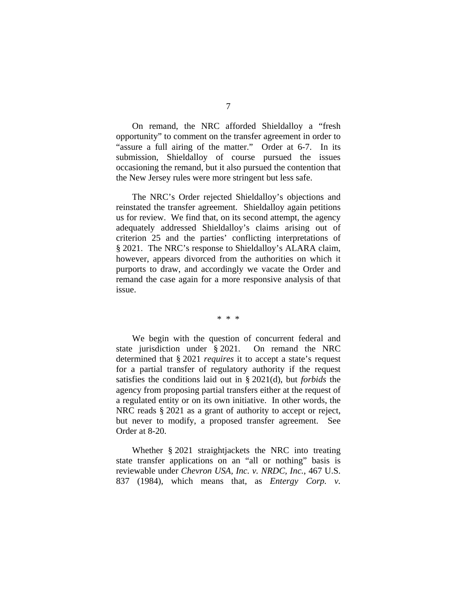On remand, the NRC afforded Shieldalloy a "fresh opportunity" to comment on the transfer agreement in order to "assure a full airing of the matter." Order at 6-7. In its submission, Shieldalloy of course pursued the issues occasioning the remand, but it also pursued the contention that the New Jersey rules were more stringent but less safe.

The NRC's Order rejected Shieldalloy's objections and reinstated the transfer agreement. Shieldalloy again petitions us for review. We find that, on its second attempt, the agency adequately addressed Shieldalloy's claims arising out of criterion 25 and the parties' conflicting interpretations of § 2021. The NRC's response to Shieldalloy's ALARA claim, however, appears divorced from the authorities on which it purports to draw, and accordingly we vacate the Order and remand the case again for a more responsive analysis of that issue.

\* \* \*

We begin with the question of concurrent federal and state jurisdiction under § 2021. On remand the NRC determined that § 2021 *requires* it to accept a state's request for a partial transfer of regulatory authority if the request satisfies the conditions laid out in § 2021(d), but *forbids* the agency from proposing partial transfers either at the request of a regulated entity or on its own initiative. In other words, the NRC reads § 2021 as a grant of authority to accept or reject, but never to modify, a proposed transfer agreement. See Order at 8-20.

Whether § 2021 straightjackets the NRC into treating state transfer applications on an "all or nothing" basis is reviewable under *Chevron USA, Inc. v. NRDC, Inc.*, 467 U.S. 837 (1984), which means that, as *Entergy Corp. v.*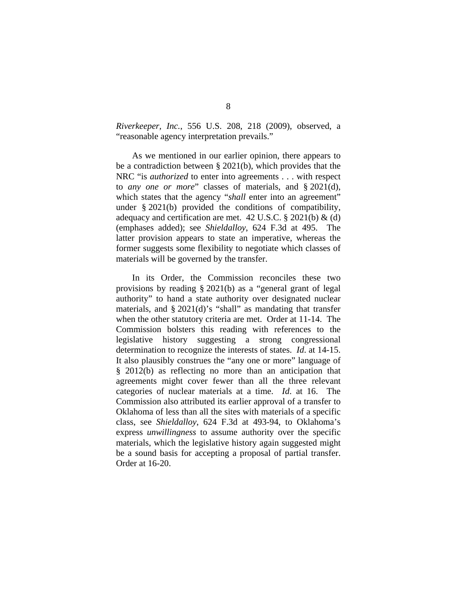*Riverkeeper, Inc.*, 556 U.S. 208, 218 (2009), observed, a "reasonable agency interpretation prevails."

As we mentioned in our earlier opinion, there appears to be a contradiction between § 2021(b), which provides that the NRC "is *authorized* to enter into agreements . . . with respect to *any one or more*" classes of materials, and § 2021(d), which states that the agency "*shall* enter into an agreement" under § 2021(b) provided the conditions of compatibility, adequacy and certification are met. 42 U.S.C.  $\S$  2021(b) & (d) (emphases added); see *Shieldalloy*, 624 F.3d at 495. The latter provision appears to state an imperative, whereas the former suggests some flexibility to negotiate which classes of materials will be governed by the transfer.

In its Order, the Commission reconciles these two provisions by reading § 2021(b) as a "general grant of legal authority" to hand a state authority over designated nuclear materials, and § 2021(d)'s "shall" as mandating that transfer when the other statutory criteria are met. Order at 11-14. The Commission bolsters this reading with references to the legislative history suggesting a strong congressional determination to recognize the interests of states. *Id*. at 14-15. It also plausibly construes the "any one or more" language of § 2012(b) as reflecting no more than an anticipation that agreements might cover fewer than all the three relevant categories of nuclear materials at a time. *Id*. at 16. The Commission also attributed its earlier approval of a transfer to Oklahoma of less than all the sites with materials of a specific class, see *Shieldalloy*, 624 F.3d at 493-94, to Oklahoma's express *unwillingness* to assume authority over the specific materials, which the legislative history again suggested might be a sound basis for accepting a proposal of partial transfer. Order at 16-20.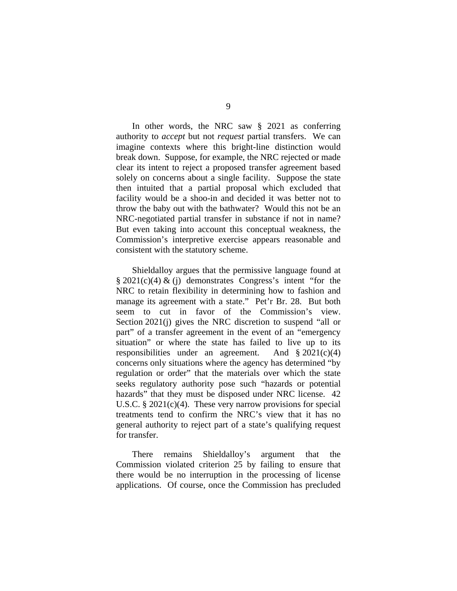In other words, the NRC saw § 2021 as conferring authority to *accept* but not *request* partial transfers. We can imagine contexts where this bright-line distinction would break down. Suppose, for example, the NRC rejected or made clear its intent to reject a proposed transfer agreement based solely on concerns about a single facility. Suppose the state then intuited that a partial proposal which excluded that facility would be a shoo-in and decided it was better not to throw the baby out with the bathwater? Would this not be an NRC-negotiated partial transfer in substance if not in name? But even taking into account this conceptual weakness, the Commission's interpretive exercise appears reasonable and consistent with the statutory scheme.

Shieldalloy argues that the permissive language found at  $\S 2021(c)(4) \& (i)$  demonstrates Congress's intent "for the NRC to retain flexibility in determining how to fashion and manage its agreement with a state." Pet'r Br. 28. But both seem to cut in favor of the Commission's view. Section 2021(j) gives the NRC discretion to suspend "all or part" of a transfer agreement in the event of an "emergency situation" or where the state has failed to live up to its responsibilities under an agreement. And  $\S 2021(c)(4)$ concerns only situations where the agency has determined "by regulation or order" that the materials over which the state seeks regulatory authority pose such "hazards or potential hazards" that they must be disposed under NRC license. 42 U.S.C.  $\S 2021(c)(4)$ . These very narrow provisions for special treatments tend to confirm the NRC's view that it has no general authority to reject part of a state's qualifying request for transfer.

There remains Shieldalloy's argument that the Commission violated criterion 25 by failing to ensure that there would be no interruption in the processing of license applications. Of course, once the Commission has precluded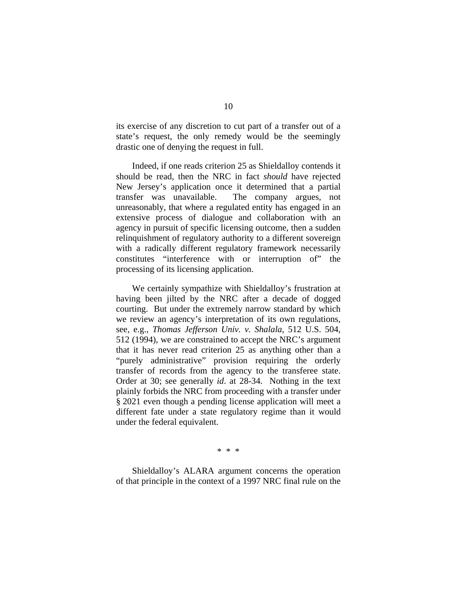its exercise of any discretion to cut part of a transfer out of a state's request, the only remedy would be the seemingly drastic one of denying the request in full.

Indeed, if one reads criterion 25 as Shieldalloy contends it should be read, then the NRC in fact *should* have rejected New Jersey's application once it determined that a partial transfer was unavailable. The company argues, not unreasonably, that where a regulated entity has engaged in an extensive process of dialogue and collaboration with an agency in pursuit of specific licensing outcome, then a sudden relinquishment of regulatory authority to a different sovereign with a radically different regulatory framework necessarily constitutes "interference with or interruption of" the processing of its licensing application.

We certainly sympathize with Shieldalloy's frustration at having been jilted by the NRC after a decade of dogged courting. But under the extremely narrow standard by which we review an agency's interpretation of its own regulations, see, e.g., *Thomas Jefferson Univ. v. Shalala*, 512 U.S. 504, 512 (1994), we are constrained to accept the NRC's argument that it has never read criterion 25 as anything other than a "purely administrative" provision requiring the orderly transfer of records from the agency to the transferee state. Order at 30; see generally *id*. at 28-34. Nothing in the text plainly forbids the NRC from proceeding with a transfer under § 2021 even though a pending license application will meet a different fate under a state regulatory regime than it would under the federal equivalent.

\* \* \*

Shieldalloy's ALARA argument concerns the operation of that principle in the context of a 1997 NRC final rule on the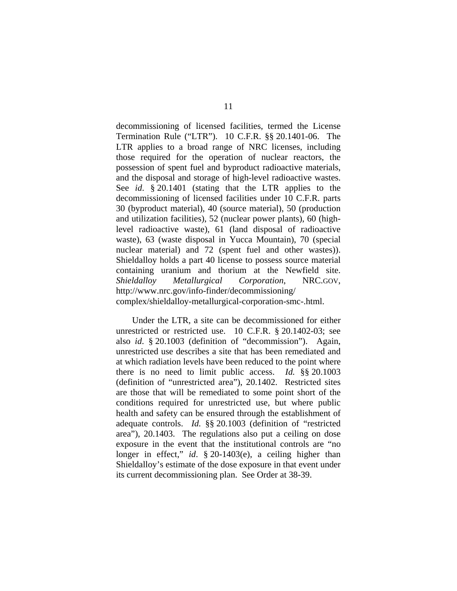decommissioning of licensed facilities, termed the License Termination Rule ("LTR"). 10 C.F.R. §§ 20.1401-06. The LTR applies to a broad range of NRC licenses, including those required for the operation of nuclear reactors, the possession of spent fuel and byproduct radioactive materials, and the disposal and storage of high-level radioactive wastes. See *id*. § 20.1401 (stating that the LTR applies to the decommissioning of licensed facilities under 10 C.F.R. parts 30 (byproduct material), 40 (source material), 50 (production and utilization facilities), 52 (nuclear power plants), 60 (highlevel radioactive waste), 61 (land disposal of radioactive waste), 63 (waste disposal in Yucca Mountain), 70 (special nuclear material) and 72 (spent fuel and other wastes)). Shieldalloy holds a part 40 license to possess source material containing uranium and thorium at the Newfield site. *Shieldalloy Metallurgical Corporation*, NRC.GOV, http://www.nrc.gov/info-finder/decommissioning/ complex/shieldalloy-metallurgical-corporation-smc-.html.

Under the LTR, a site can be decommissioned for either unrestricted or restricted use. 10 C.F.R. § 20.1402-03; see also *id*. § 20.1003 (definition of "decommission"). Again, unrestricted use describes a site that has been remediated and at which radiation levels have been reduced to the point where there is no need to limit public access. *Id.* §§ 20.1003 (definition of "unrestricted area"), 20.1402. Restricted sites are those that will be remediated to some point short of the conditions required for unrestricted use, but where public health and safety can be ensured through the establishment of adequate controls. *Id.* §§ 20.1003 (definition of "restricted area"), 20.1403. The regulations also put a ceiling on dose exposure in the event that the institutional controls are "no longer in effect," *id.* § 20-1403(e), a ceiling higher than Shieldalloy's estimate of the dose exposure in that event under its current decommissioning plan. See Order at 38-39.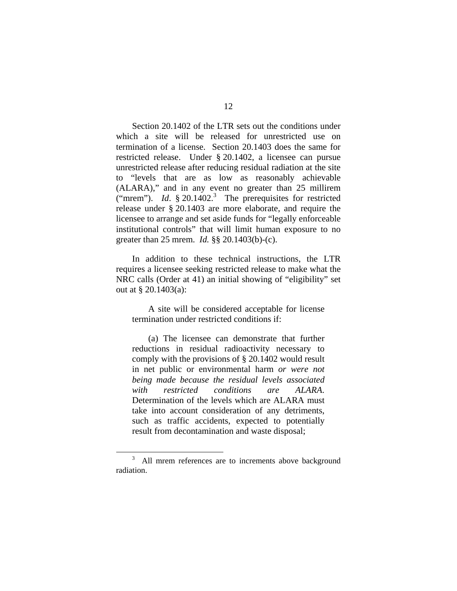Section 20.1402 of the LTR sets out the conditions under which a site will be released for unrestricted use on termination of a license. Section 20.1403 does the same for restricted release. Under § 20.1402, a licensee can pursue unrestricted release after reducing residual radiation at the site to "levels that are as low as reasonably achievable (ALARA)," and in any event no greater than 25 millirem ("mrem").  $Id. \S$  20.1402.<sup>3</sup> The prerequisites for restricted release under § 20.1403 are more elaborate, and require the licensee to arrange and set aside funds for "legally enforceable institutional controls" that will limit human exposure to no greater than 25 mrem. *Id.* §§ 20.1403(b)-(c).

In addition to these technical instructions, the LTR requires a licensee seeking restricted release to make what the NRC calls (Order at 41) an initial showing of "eligibility" set out at § 20.1403(a):

A site will be considered acceptable for license termination under restricted conditions if:

(a) The licensee can demonstrate that further reductions in residual radioactivity necessary to comply with the provisions of § 20.1402 would result in net public or environmental harm *or were not being made because the residual levels associated with restricted conditions are ALARA*. Determination of the levels which are ALARA must take into account consideration of any detriments, such as traffic accidents, expected to potentially result from decontamination and waste disposal;

 <sup>3</sup> <sup>3</sup> All mrem references are to increments above background radiation.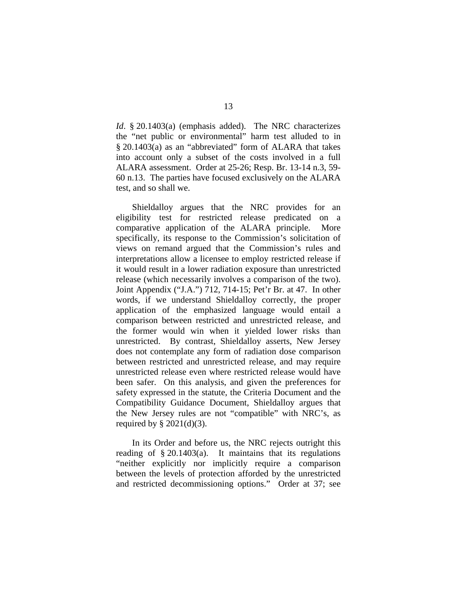*Id*. § 20.1403(a) (emphasis added). The NRC characterizes the "net public or environmental" harm test alluded to in § 20.1403(a) as an "abbreviated" form of ALARA that takes into account only a subset of the costs involved in a full ALARA assessment. Order at 25-26; Resp. Br. 13-14 n.3, 59- 60 n.13.The parties have focused exclusively on the ALARA test, and so shall we.

Shieldalloy argues that the NRC provides for an eligibility test for restricted release predicated on a comparative application of the ALARA principle. More specifically, its response to the Commission's solicitation of views on remand argued that the Commission's rules and interpretations allow a licensee to employ restricted release if it would result in a lower radiation exposure than unrestricted release (which necessarily involves a comparison of the two). Joint Appendix ("J.A.") 712, 714-15; Pet'r Br. at 47. In other words, if we understand Shieldalloy correctly, the proper application of the emphasized language would entail a comparison between restricted and unrestricted release, and the former would win when it yielded lower risks than unrestricted. By contrast, Shieldalloy asserts, New Jersey does not contemplate any form of radiation dose comparison between restricted and unrestricted release, and may require unrestricted release even where restricted release would have been safer. On this analysis, and given the preferences for safety expressed in the statute, the Criteria Document and the Compatibility Guidance Document, Shieldalloy argues that the New Jersey rules are not "compatible" with NRC's, as required by  $\S$  2021(d)(3).

 In its Order and before us, the NRC rejects outright this reading of  $\S 20.1403(a)$ . It maintains that its regulations "neither explicitly nor implicitly require a comparison between the levels of protection afforded by the unrestricted and restricted decommissioning options." Order at 37; see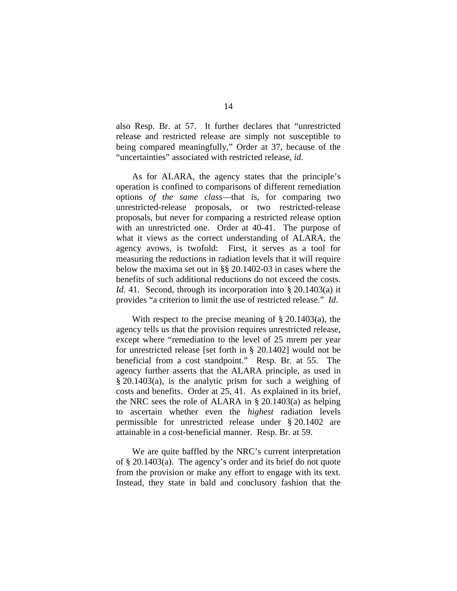also Resp. Br. at 57. It further declares that "unrestricted release and restricted release are simply not susceptible to being compared meaningfully," Order at 37, because of the "uncertainties" associated with restricted release, *id*.

As for ALARA, the agency states that the principle's operation is confined to comparisons of different remediation options *of the same class*—that is, for comparing two unrestricted-release proposals, or two restricted-release proposals, but never for comparing a restricted release option with an unrestricted one. Order at 40-41. The purpose of what it views as the correct understanding of ALARA, the agency avows, is twofold: First, it serves as a tool for measuring the reductions in radiation levels that it will require below the maxima set out in §§ 20.1402-03 in cases where the benefits of such additional reductions do not exceed the costs. *Id.* 41. Second, through its incorporation into § 20.1403(a) it provides "a criterion to limit the use of restricted release." *Id*.

With respect to the precise meaning of  $\S 20.1403(a)$ , the agency tells us that the provision requires unrestricted release, except where "remediation to the level of 25 mrem per year for unrestricted release [set forth in § 20.1402] would not be beneficial from a cost standpoint." Resp. Br. at 55. The agency further asserts that the ALARA principle, as used in § 20.1403(a), is the analytic prism for such a weighing of costs and benefits. Order at 25, 41. As explained in its brief, the NRC sees the role of ALARA in § 20.1403(a) as helping to ascertain whether even the *highest* radiation levels permissible for unrestricted release under § 20.1402 are attainable in a cost-beneficial manner. Resp. Br. at 59.

 We are quite baffled by the NRC's current interpretation of § 20.1403(a). The agency's order and its brief do not quote from the provision or make any effort to engage with its text. Instead, they state in bald and conclusory fashion that the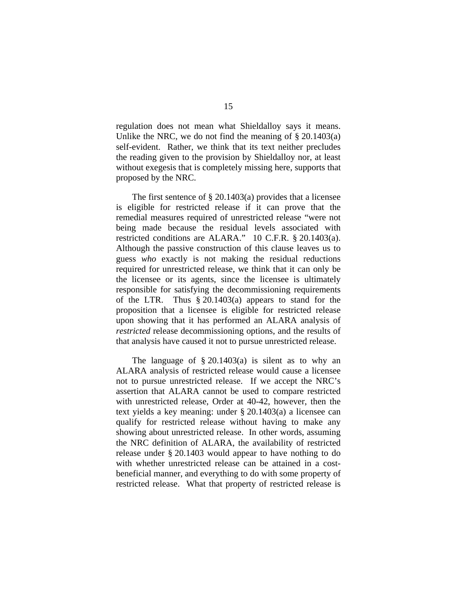regulation does not mean what Shieldalloy says it means. Unlike the NRC, we do not find the meaning of  $\S 20.1403(a)$ self-evident. Rather, we think that its text neither precludes the reading given to the provision by Shieldalloy nor, at least without exegesis that is completely missing here, supports that proposed by the NRC.

The first sentence of  $\S 20.1403(a)$  provides that a licensee is eligible for restricted release if it can prove that the remedial measures required of unrestricted release "were not being made because the residual levels associated with restricted conditions are ALARA." 10 C.F.R. § 20.1403(a). Although the passive construction of this clause leaves us to guess *who* exactly is not making the residual reductions required for unrestricted release, we think that it can only be the licensee or its agents, since the licensee is ultimately responsible for satisfying the decommissioning requirements of the LTR. Thus § 20.1403(a) appears to stand for the proposition that a licensee is eligible for restricted release upon showing that it has performed an ALARA analysis of *restricted* release decommissioning options, and the results of that analysis have caused it not to pursue unrestricted release.

The language of  $\S 20.1403(a)$  is silent as to why an ALARA analysis of restricted release would cause a licensee not to pursue unrestricted release. If we accept the NRC's assertion that ALARA cannot be used to compare restricted with unrestricted release, Order at 40-42, however, then the text yields a key meaning: under § 20.1403(a) a licensee can qualify for restricted release without having to make any showing about unrestricted release. In other words, assuming the NRC definition of ALARA, the availability of restricted release under § 20.1403 would appear to have nothing to do with whether unrestricted release can be attained in a costbeneficial manner, and everything to do with some property of restricted release. What that property of restricted release is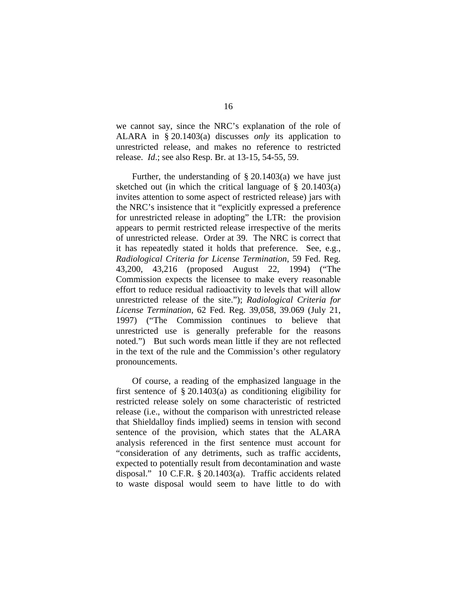we cannot say, since the NRC's explanation of the role of ALARA in § 20.1403(a) discusses *only* its application to unrestricted release, and makes no reference to restricted release. *Id*.; see also Resp. Br. at 13-15, 54-55, 59.

Further, the understanding of  $\S 20.1403(a)$  we have just sketched out (in which the critical language of § 20.1403(a) invites attention to some aspect of restricted release) jars with the NRC's insistence that it "explicitly expressed a preference for unrestricted release in adopting" the LTR: the provision appears to permit restricted release irrespective of the merits of unrestricted release. Order at 39. The NRC is correct that it has repeatedly stated it holds that preference. See, e.g., *Radiological Criteria for License Termination*, 59 Fed. Reg. 43,200, 43,216 (proposed August 22, 1994) ("The Commission expects the licensee to make every reasonable effort to reduce residual radioactivity to levels that will allow unrestricted release of the site."); *Radiological Criteria for License Termination*, 62 Fed. Reg. 39,058, 39.069 (July 21, 1997) ("The Commission continues to believe that unrestricted use is generally preferable for the reasons noted.") But such words mean little if they are not reflected in the text of the rule and the Commission's other regulatory pronouncements.

 Of course, a reading of the emphasized language in the first sentence of  $\S 20.1403(a)$  as conditioning eligibility for restricted release solely on some characteristic of restricted release (i.e., without the comparison with unrestricted release that Shieldalloy finds implied) seems in tension with second sentence of the provision, which states that the ALARA analysis referenced in the first sentence must account for "consideration of any detriments, such as traffic accidents, expected to potentially result from decontamination and waste disposal." 10 C.F.R. § 20.1403(a). Traffic accidents related to waste disposal would seem to have little to do with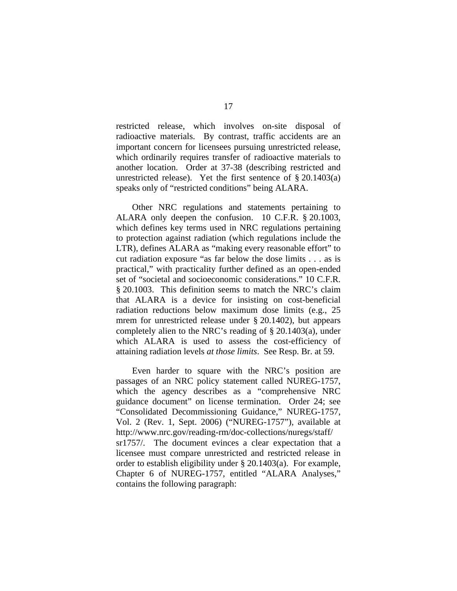restricted release, which involves on-site disposal of radioactive materials. By contrast, traffic accidents are an important concern for licensees pursuing unrestricted release, which ordinarily requires transfer of radioactive materials to another location. Order at 37-38 (describing restricted and unrestricted release). Yet the first sentence of  $\S 20.1403(a)$ speaks only of "restricted conditions" being ALARA.

Other NRC regulations and statements pertaining to ALARA only deepen the confusion. 10 C.F.R. § 20.1003, which defines key terms used in NRC regulations pertaining to protection against radiation (which regulations include the LTR), defines ALARA as "making every reasonable effort" to cut radiation exposure "as far below the dose limits . . . as is practical," with practicality further defined as an open-ended set of "societal and socioeconomic considerations." 10 C.F.R. § 20.1003. This definition seems to match the NRC's claim that ALARA is a device for insisting on cost-beneficial radiation reductions below maximum dose limits (e.g., 25 mrem for unrestricted release under § 20.1402), but appears completely alien to the NRC's reading of § 20.1403(a), under which ALARA is used to assess the cost-efficiency of attaining radiation levels *at those limits*. See Resp. Br. at 59.

Even harder to square with the NRC's position are passages of an NRC policy statement called NUREG-1757, which the agency describes as a "comprehensive NRC guidance document" on license termination. Order 24; see "Consolidated Decommissioning Guidance," NUREG-1757, Vol. 2 (Rev. 1, Sept. 2006) ("NUREG-1757"), available at http://www.nrc.gov/reading-rm/doc-collections/nuregs/staff/ sr1757/. The document evinces a clear expectation that a licensee must compare unrestricted and restricted release in order to establish eligibility under § 20.1403(a). For example, Chapter 6 of NUREG-1757, entitled "ALARA Analyses," contains the following paragraph: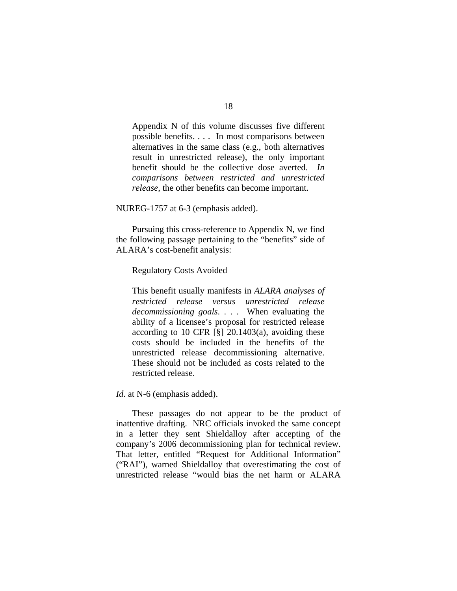Appendix N of this volume discusses five different possible benefits. . . . In most comparisons between alternatives in the same class (e.g., both alternatives result in unrestricted release), the only important benefit should be the collective dose averted. *In comparisons between restricted and unrestricted release*, the other benefits can become important.

NUREG-1757 at 6-3 (emphasis added).

Pursuing this cross-reference to Appendix N, we find the following passage pertaining to the "benefits" side of ALARA's cost-benefit analysis:

Regulatory Costs Avoided

This benefit usually manifests in *ALARA analyses of restricted release versus unrestricted release decommissioning goals*. . . . When evaluating the ability of a licensee's proposal for restricted release according to 10 CFR  $\lceil \S \rceil$  20.1403(a), avoiding these costs should be included in the benefits of the unrestricted release decommissioning alternative. These should not be included as costs related to the restricted release.

*Id.* at N-6 (emphasis added).

 These passages do not appear to be the product of inattentive drafting. NRC officials invoked the same concept in a letter they sent Shieldalloy after accepting of the company's 2006 decommissioning plan for technical review. That letter, entitled "Request for Additional Information" ("RAI"), warned Shieldalloy that overestimating the cost of unrestricted release "would bias the net harm or ALARA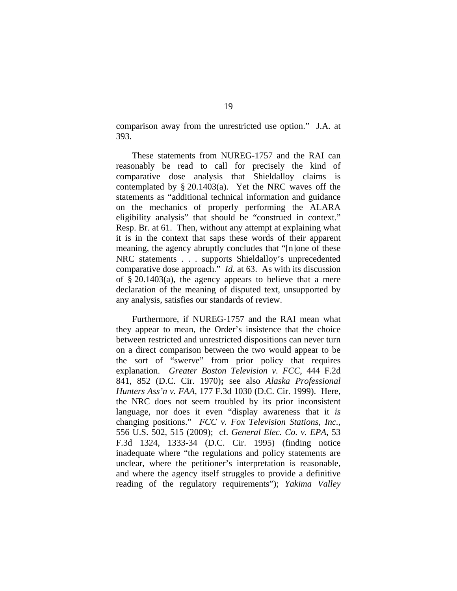comparison away from the unrestricted use option." J.A. at 393.

These statements from NUREG-1757 and the RAI can reasonably be read to call for precisely the kind of comparative dose analysis that Shieldalloy claims is contemplated by  $\S 20.1403(a)$ . Yet the NRC waves off the statements as "additional technical information and guidance on the mechanics of properly performing the ALARA eligibility analysis" that should be "construed in context." Resp. Br. at 61. Then, without any attempt at explaining what it is in the context that saps these words of their apparent meaning, the agency abruptly concludes that "[n]one of these NRC statements . . . supports Shieldalloy's unprecedented comparative dose approach." *Id*. at 63. As with its discussion of  $\S 20.1403(a)$ , the agency appears to believe that a mere declaration of the meaning of disputed text, unsupported by any analysis, satisfies our standards of review.

Furthermore, if NUREG-1757 and the RAI mean what they appear to mean, the Order's insistence that the choice between restricted and unrestricted dispositions can never turn on a direct comparison between the two would appear to be the sort of "swerve" from prior policy that requires explanation. *Greater Boston Television v. FCC*, 444 F.2d 841, 852 (D.C. Cir. 1970)**;** see also *Alaska Professional Hunters Ass'n v. FAA*, 177 F.3d 1030 (D.C. Cir. 1999). Here, the NRC does not seem troubled by its prior inconsistent language, nor does it even "display awareness that it *is* changing positions." *FCC v. Fox Television Stations, Inc.*, 556 U.S. 502, 515 (2009); cf. *General Elec. Co. v. EPA*, 53 F.3d 1324, 1333-34 (D.C. Cir. 1995) (finding notice inadequate where "the regulations and policy statements are unclear, where the petitioner's interpretation is reasonable, and where the agency itself struggles to provide a definitive reading of the regulatory requirements"); *Yakima Valley*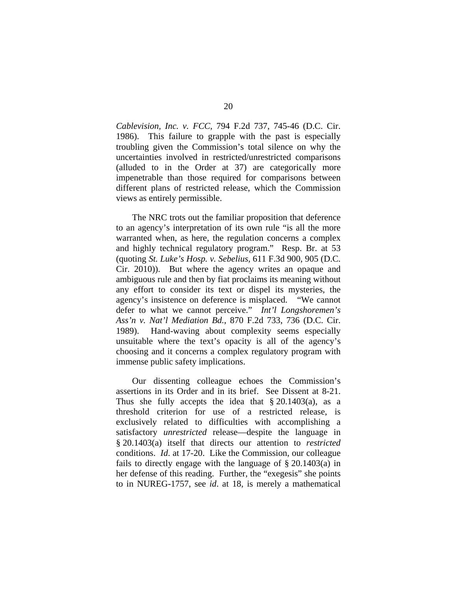*Cablevision, Inc. v. FCC*, 794 F.2d 737, 745-46 (D.C. Cir. 1986). This failure to grapple with the past is especially troubling given the Commission's total silence on why the uncertainties involved in restricted/unrestricted comparisons (alluded to in the Order at 37) are categorically more impenetrable than those required for comparisons between different plans of restricted release, which the Commission views as entirely permissible.

The NRC trots out the familiar proposition that deference to an agency's interpretation of its own rule "is all the more warranted when, as here, the regulation concerns a complex and highly technical regulatory program." Resp. Br. at 53 (quoting *St. Luke's Hosp. v. Sebelius,* 611 F.3d 900, 905 (D.C. Cir. 2010)). But where the agency writes an opaque and ambiguous rule and then by fiat proclaims its meaning without any effort to consider its text or dispel its mysteries, the agency's insistence on deference is misplaced. "We cannot defer to what we cannot perceive." *Int'l Longshoremen's Ass'n v. Nat'l Mediation Bd.*, 870 F.2d 733, 736 (D.C. Cir. 1989). Hand-waving about complexity seems especially unsuitable where the text's opacity is all of the agency's choosing and it concerns a complex regulatory program with immense public safety implications.

Our dissenting colleague echoes the Commission's assertions in its Order and in its brief. See Dissent at 8-21. Thus she fully accepts the idea that  $\S 20.1403(a)$ , as a threshold criterion for use of a restricted release, is exclusively related to difficulties with accomplishing a satisfactory *unrestricted* release—despite the language in § 20.1403(a) itself that directs our attention to *restricted* conditions. *Id*. at 17-20. Like the Commission, our colleague fails to directly engage with the language of § 20.1403(a) in her defense of this reading. Further, the "exegesis" she points to in NUREG-1757, see *id*. at 18, is merely a mathematical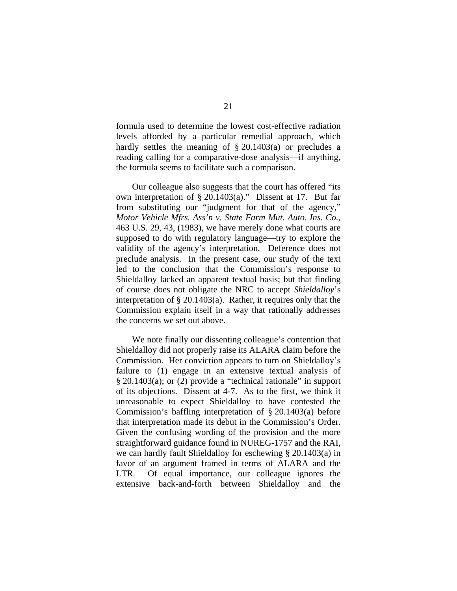formula used to determine the lowest cost-effective radiation levels afforded by a particular remedial approach, which hardly settles the meaning of § 20.1403(a) or precludes a reading calling for a comparative-dose analysis—if anything, the formula seems to facilitate such a comparison.

Our colleague also suggests that the court has offered "its own interpretation of § 20.1403(a)." Dissent at 17. But far from substituting our "judgment for that of the agency," *Motor Vehicle Mfrs. Ass'n v. State Farm Mut. Auto. Ins. Co.,*  463 U.S. 29, 43, (1983), we have merely done what courts are supposed to do with regulatory language—try to explore the validity of the agency's interpretation. Deference does not preclude analysis. In the present case, our study of the text led to the conclusion that the Commission's response to Shieldalloy lacked an apparent textual basis; but that finding of course does not obligate the NRC to accept *Shieldalloy*'s interpretation of § 20.1403(a). Rather, it requires only that the Commission explain itself in a way that rationally addresses the concerns we set out above.

We note finally our dissenting colleague's contention that Shieldalloy did not properly raise its ALARA claim before the Commission. Her conviction appears to turn on Shieldalloy's failure to (1) engage in an extensive textual analysis of § 20.1403(a); or (2) provide a "technical rationale" in support of its objections. Dissent at 4-7. As to the first, we think it unreasonable to expect Shieldalloy to have contested the Commission's baffling interpretation of § 20.1403(a) before that interpretation made its debut in the Commission's Order. Given the confusing wording of the provision and the more straightforward guidance found in NUREG-1757 and the RAI, we can hardly fault Shieldalloy for eschewing § 20.1403(a) in favor of an argument framed in terms of ALARA and the LTR. Of equal importance, our colleague ignores the extensive back-and-forth between Shieldalloy and the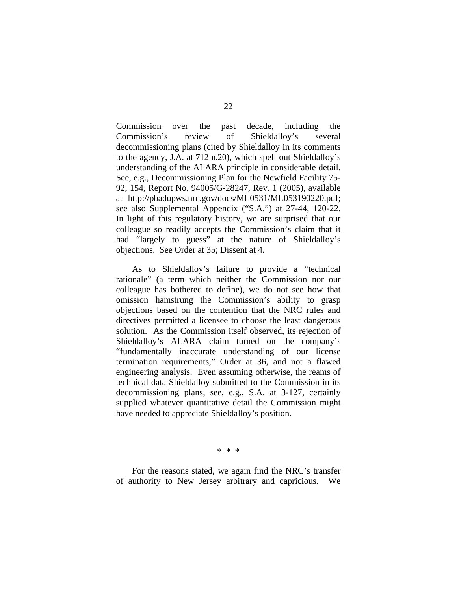Commission over the past decade, including the Commission's review of Shieldalloy's several decommissioning plans (cited by Shieldalloy in its comments to the agency, J.A. at 712 n.20), which spell out Shieldalloy's understanding of the ALARA principle in considerable detail. See, e.g., Decommissioning Plan for the Newfield Facility 75- 92, 154, Report No. 94005/G-28247, Rev. 1 (2005), available at http://pbadupws.nrc.gov/docs/ML0531/ML053190220.pdf; see also Supplemental Appendix ("S.A.") at 27-44, 120-22. In light of this regulatory history, we are surprised that our colleague so readily accepts the Commission's claim that it had "largely to guess" at the nature of Shieldalloy's objections. See Order at 35; Dissent at 4.

As to Shieldalloy's failure to provide a "technical rationale" (a term which neither the Commission nor our colleague has bothered to define), we do not see how that omission hamstrung the Commission's ability to grasp objections based on the contention that the NRC rules and directives permitted a licensee to choose the least dangerous solution. As the Commission itself observed, its rejection of Shieldalloy's ALARA claim turned on the company's "fundamentally inaccurate understanding of our license termination requirements," Order at 36, and not a flawed engineering analysis. Even assuming otherwise, the reams of technical data Shieldalloy submitted to the Commission in its decommissioning plans, see, e.g., S.A. at 3-127, certainly supplied whatever quantitative detail the Commission might have needed to appreciate Shieldalloy's position.

\* \* \*

For the reasons stated, we again find the NRC's transfer of authority to New Jersey arbitrary and capricious. We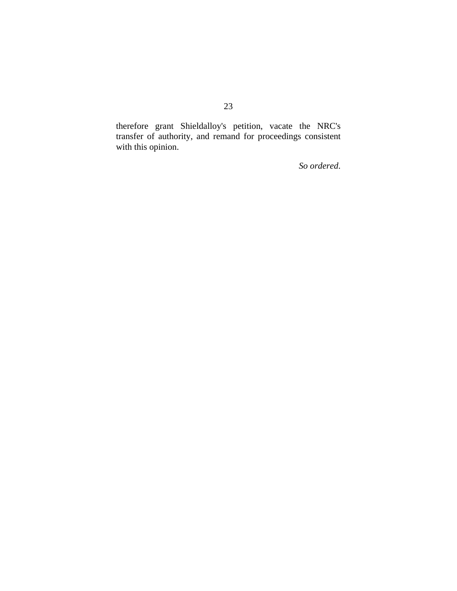therefore grant Shieldalloy's petition, vacate the NRC's transfer of authority, and remand for proceedings consistent with this opinion.

*So ordered*.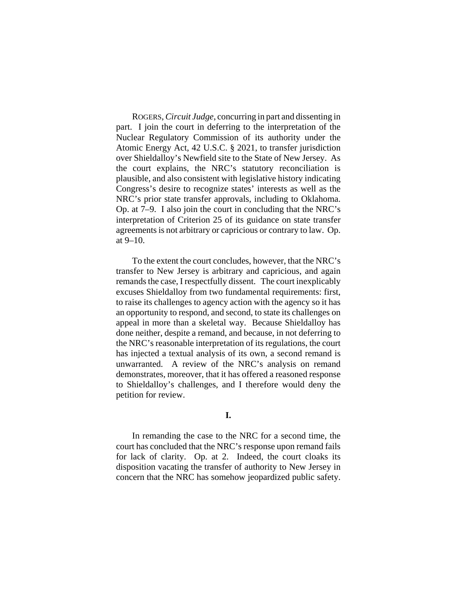ROGERS, *Circuit Judge*, concurring in part and dissenting in part. I join the court in deferring to the interpretation of the Nuclear Regulatory Commission of its authority under the Atomic Energy Act, 42 U.S.C. § 2021, to transfer jurisdiction over Shieldalloy's Newfield site to the State of New Jersey. As the court explains, the NRC's statutory reconciliation is plausible, and also consistent with legislative history indicating Congress's desire to recognize states' interests as well as the NRC's prior state transfer approvals, including to Oklahoma. Op. at 7–9. I also join the court in concluding that the NRC's interpretation of Criterion 25 of its guidance on state transfer agreements is not arbitrary or capricious or contrary to law. Op. at 9–10.

To the extent the court concludes, however, that the NRC's transfer to New Jersey is arbitrary and capricious, and again remands the case, I respectfully dissent. The court inexplicably excuses Shieldalloy from two fundamental requirements: first, to raise its challenges to agency action with the agency so it has an opportunity to respond, and second, to state its challenges on appeal in more than a skeletal way. Because Shieldalloy has done neither, despite a remand, and because, in not deferring to the NRC's reasonable interpretation of its regulations, the court has injected a textual analysis of its own, a second remand is unwarranted. A review of the NRC's analysis on remand demonstrates, moreover, that it has offered a reasoned response to Shieldalloy's challenges, and I therefore would deny the petition for review.

## **I.**

In remanding the case to the NRC for a second time, the court has concluded that the NRC's response upon remand fails for lack of clarity. Op. at 2. Indeed, the court cloaks its disposition vacating the transfer of authority to New Jersey in concern that the NRC has somehow jeopardized public safety.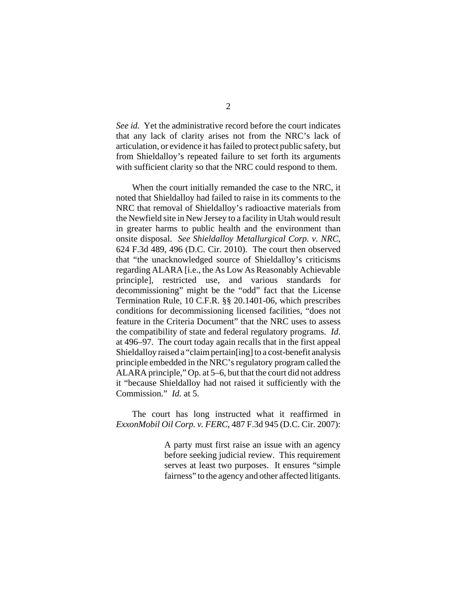*See id.* Yet the administrative record before the court indicates that any lack of clarity arises not from the NRC's lack of articulation, or evidence it has failed to protect public safety, but from Shieldalloy's repeated failure to set forth its arguments with sufficient clarity so that the NRC could respond to them.

When the court initially remanded the case to the NRC, it noted that Shieldalloy had failed to raise in its comments to the NRC that removal of Shieldalloy's radioactive materials from the Newfield site in New Jersey to a facility in Utah would result in greater harms to public health and the environment than onsite disposal. *See Shieldalloy Metallurgical Corp. v. NRC*, 624 F.3d 489, 496 (D.C. Cir. 2010). The court then observed that "the unacknowledged source of Shieldalloy's criticisms regarding ALARA [i.e., the As Low As Reasonably Achievable principle], restricted use, and various standards for decommissioning" might be the "odd" fact that the License Termination Rule, 10 C.F.R. §§ 20.1401-06, which prescribes conditions for decommissioning licensed facilities, "does not feature in the Criteria Document" that the NRC uses to assess the compatibility of state and federal regulatory programs. *Id*. at 496–97. The court today again recalls that in the first appeal Shieldalloy raised a "claim pertain[ing] to a cost-benefit analysis principle embedded in the NRC's regulatory program called the ALARA principle," Op. at 5–6, but that the court did not address it "because Shieldalloy had not raised it sufficiently with the Commission." *Id.* at 5.

The court has long instructed what it reaffirmed in *ExxonMobil Oil Corp. v. FERC*, 487 F.3d 945 (D.C. Cir. 2007):

> A party must first raise an issue with an agency before seeking judicial review. This requirement serves at least two purposes. It ensures "simple fairness" to the agency and other affected litigants.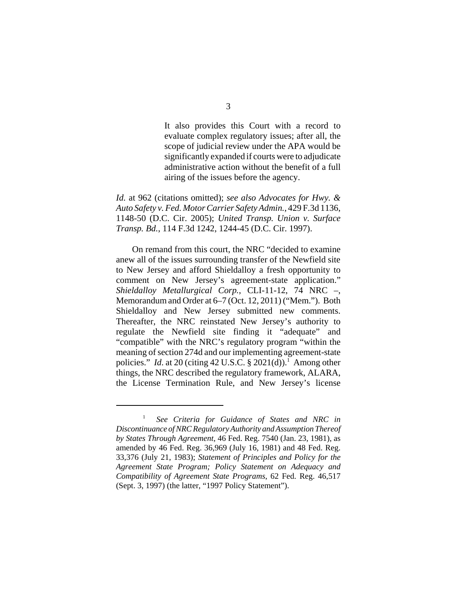It also provides this Court with a record to evaluate complex regulatory issues; after all, the scope of judicial review under the APA would be significantly expanded if courts were to adjudicate administrative action without the benefit of a full airing of the issues before the agency.

*Id.* at 962 (citations omitted); *see also Advocates for Hwy. & Auto Safety v. Fed. Motor Carrier Safety Admin.*, 429 F.3d 1136, 1148-50 (D.C. Cir. 2005); *United Transp. Union v. Surface Transp. Bd.*, 114 F.3d 1242, 1244-45 (D.C. Cir. 1997).

On remand from this court, the NRC "decided to examine anew all of the issues surrounding transfer of the Newfield site to New Jersey and afford Shieldalloy a fresh opportunity to comment on New Jersey's agreement-state application." *Shieldalloy Metallurgical Corp.*, CLI-11-12, 74 NRC –, Memorandum and Order at 6–7 (Oct. 12, 2011) ("Mem."). Both Shieldalloy and New Jersey submitted new comments. Thereafter, the NRC reinstated New Jersey's authority to regulate the Newfield site finding it "adequate" and "compatible" with the NRC's regulatory program "within the meaning of section 274d and our implementing agreement-state policies." *Id.* at 20 (citing 42 U.S.C.  $\S$  2021(d)).<sup>1</sup> Among other things, the NRC described the regulatory framework, ALARA, the License Termination Rule, and New Jersey's license

<sup>1</sup> *See Criteria for Guidance of States and NRC in Discontinuance of NRC Regulatory Authority and Assumption Thereof by States Through Agreement*, 46 Fed. Reg. 7540 (Jan. 23, 1981), as amended by 46 Fed. Reg. 36,969 (July 16, 1981) and 48 Fed. Reg. 33,376 (July 21, 1983); *Statement of Principles and Policy for the Agreement State Program; Policy Statement on Adequacy and Compatibility of Agreement State Programs*, 62 Fed. Reg. 46,517 (Sept. 3, 1997) (the latter, "1997 Policy Statement").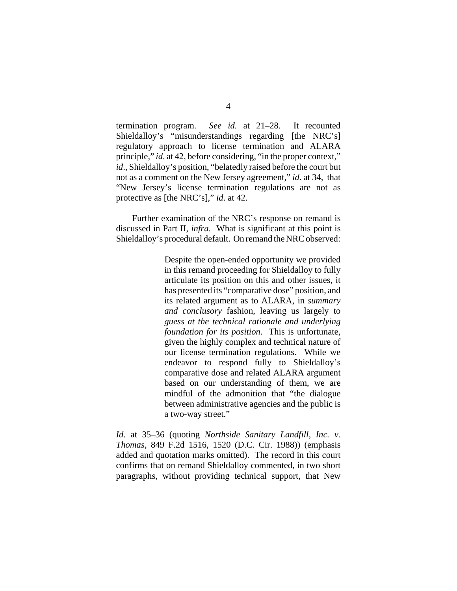termination program. *See id.* at 21–28. It recounted Shieldalloy's "misunderstandings regarding [the NRC's] regulatory approach to license termination and ALARA principle," *id*. at 42, before considering, "in the proper context," *id*., Shieldalloy's position, "belatedly raised before the court but not as a comment on the New Jersey agreement," *id*. at 34, that "New Jersey's license termination regulations are not as protective as [the NRC's]," *id*. at 42.

Further examination of the NRC's response on remand is discussed in Part II, *infra*. What is significant at this point is Shieldalloy's procedural default. On remand the NRC observed:

> Despite the open-ended opportunity we provided in this remand proceeding for Shieldalloy to fully articulate its position on this and other issues, it has presented its "comparative dose" position, and its related argument as to ALARA, in *summary and conclusory* fashion, leaving us largely to *guess at the technical rationale and underlying foundation for its position*. This is unfortunate, given the highly complex and technical nature of our license termination regulations. While we endeavor to respond fully to Shieldalloy's comparative dose and related ALARA argument based on our understanding of them, we are mindful of the admonition that "the dialogue between administrative agencies and the public is a two-way street."

*Id*. at 35–36 (quoting *Northside Sanitary Landfill, Inc. v. Thomas*, 849 F.2d 1516, 1520 (D.C. Cir. 1988)) (emphasis added and quotation marks omitted). The record in this court confirms that on remand Shieldalloy commented, in two short paragraphs, without providing technical support, that New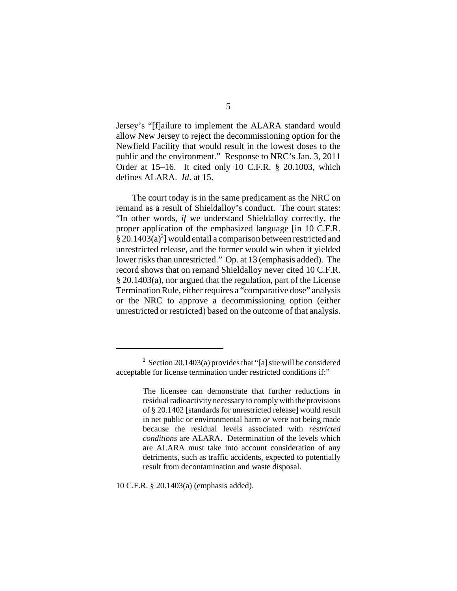Jersey's "[f]ailure to implement the ALARA standard would allow New Jersey to reject the decommissioning option for the Newfield Facility that would result in the lowest doses to the public and the environment." Response to NRC's Jan. 3, 2011 Order at 15–16. It cited only 10 C.F.R. § 20.1003, which defines ALARA. *Id*. at 15.

The court today is in the same predicament as the NRC on remand as a result of Shieldalloy's conduct. The court states: "In other words, *if* we understand Shieldalloy correctly, the proper application of the emphasized language [in 10 C.F.R. § 20.1403(a)<sup>2</sup>] would entail a comparison between restricted and unrestricted release, and the former would win when it yielded lower risks than unrestricted." Op. at 13 (emphasis added). The record shows that on remand Shieldalloy never cited 10 C.F.R. § 20.1403(a), nor argued that the regulation, part of the License Termination Rule, either requires a "comparative dose" analysis or the NRC to approve a decommissioning option (either unrestricted or restricted) based on the outcome of that analysis.

10 C.F.R. § 20.1403(a) (emphasis added).

<sup>&</sup>lt;sup>2</sup> Section 20.1403(a) provides that "[a] site will be considered acceptable for license termination under restricted conditions if:"

The licensee can demonstrate that further reductions in residual radioactivity necessary to comply with the provisions of § 20.1402 [standards for unrestricted release] would result in net public or environmental harm *or* were not being made because the residual levels associated with *restricted conditions* are ALARA. Determination of the levels which are ALARA must take into account consideration of any detriments, such as traffic accidents, expected to potentially result from decontamination and waste disposal.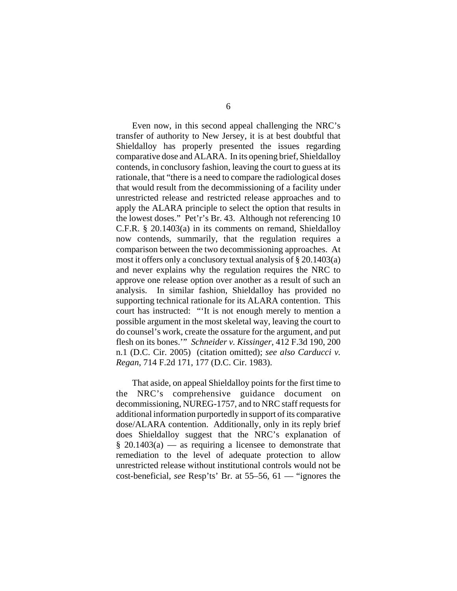Even now, in this second appeal challenging the NRC's transfer of authority to New Jersey, it is at best doubtful that Shieldalloy has properly presented the issues regarding comparative dose and ALARA. In its opening brief, Shieldalloy contends, in conclusory fashion, leaving the court to guess at its rationale, that "there is a need to compare the radiological doses that would result from the decommissioning of a facility under unrestricted release and restricted release approaches and to apply the ALARA principle to select the option that results in the lowest doses." Pet'r's Br. 43. Although not referencing 10 C.F.R. § 20.1403(a) in its comments on remand, Shieldalloy now contends, summarily, that the regulation requires a comparison between the two decommissioning approaches. At most it offers only a conclusory textual analysis of § 20.1403(a) and never explains why the regulation requires the NRC to approve one release option over another as a result of such an analysis. In similar fashion, Shieldalloy has provided no supporting technical rationale for its ALARA contention. This court has instructed: "'It is not enough merely to mention a possible argument in the most skeletal way, leaving the court to do counsel's work, create the ossature for the argument, and put flesh on its bones.'" *Schneider v. Kissinger*, 412 F.3d 190, 200 n.1 (D.C. Cir. 2005) (citation omitted); *see also Carducci v. Regan*, 714 F.2d 171, 177 (D.C. Cir. 1983).

That aside, on appeal Shieldalloy points for the first time to the NRC's comprehensive guidance document on decommissioning, NUREG-1757, and to NRC staff requests for additional information purportedly in support of its comparative dose/ALARA contention. Additionally, only in its reply brief does Shieldalloy suggest that the NRC's explanation of  $§ 20.1403(a)$  — as requiring a licensee to demonstrate that remediation to the level of adequate protection to allow unrestricted release without institutional controls would not be cost-beneficial, *see* Resp'ts' Br. at 55–56, 61 — "ignores the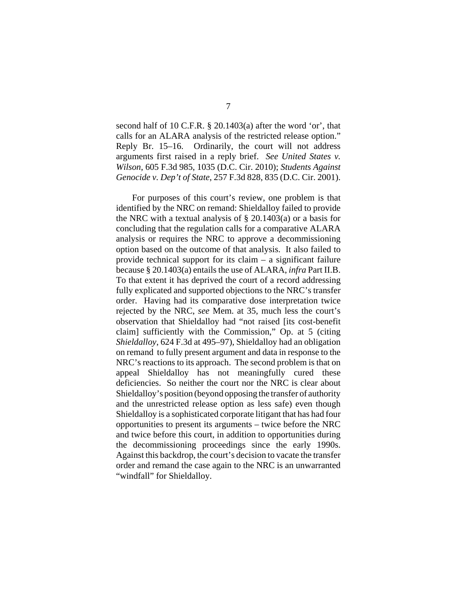second half of 10 C.F.R. § 20.1403(a) after the word 'or', that calls for an ALARA analysis of the restricted release option." Reply Br. 15–16. Ordinarily, the court will not address arguments first raised in a reply brief. *See United States v. Wilson*, 605 F.3d 985, 1035 (D.C. Cir. 2010); *Students Against Genocide v. Dep't of State*, 257 F.3d 828, 835 (D.C. Cir. 2001).

For purposes of this court's review, one problem is that identified by the NRC on remand: Shieldalloy failed to provide the NRC with a textual analysis of  $\S$  20.1403(a) or a basis for concluding that the regulation calls for a comparative ALARA analysis or requires the NRC to approve a decommissioning option based on the outcome of that analysis. It also failed to provide technical support for its claim – a significant failure because § 20.1403(a) entails the use of ALARA, *infra* Part II.B. To that extent it has deprived the court of a record addressing fully explicated and supported objections to the NRC's transfer order. Having had its comparative dose interpretation twice rejected by the NRC, *see* Mem. at 35, much less the court's observation that Shieldalloy had "not raised [its cost-benefit claim] sufficiently with the Commission," Op. at 5 (citing *Shieldalloy*, 624 F.3d at 495–97), Shieldalloy had an obligation on remand to fully present argument and data in response to the NRC's reactions to its approach. The second problem is that on appeal Shieldalloy has not meaningfully cured these deficiencies. So neither the court nor the NRC is clear about Shieldalloy's position (beyond opposing the transfer of authority and the unrestricted release option as less safe) even though Shieldalloy is a sophisticated corporate litigant that has had four opportunities to present its arguments – twice before the NRC and twice before this court, in addition to opportunities during the decommissioning proceedings since the early 1990s. Against this backdrop, the court's decision to vacate the transfer order and remand the case again to the NRC is an unwarranted "windfall" for Shieldalloy.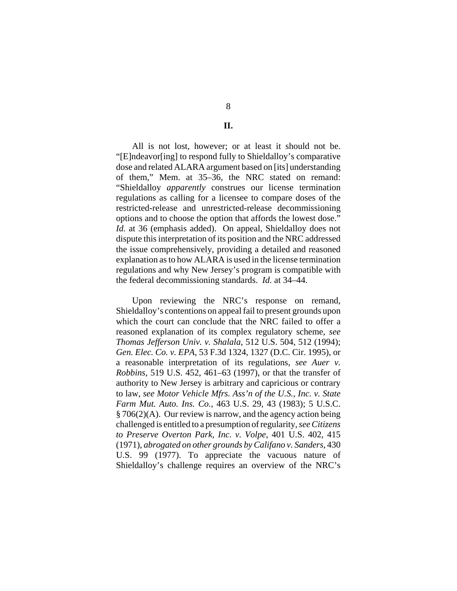## **II.**

All is not lost, however; or at least it should not be. "[E]ndeavor[ing] to respond fully to Shieldalloy's comparative dose and related ALARA argument based on [its] understanding of them," Mem. at 35–36, the NRC stated on remand: "Shieldalloy *apparently* construes our license termination regulations as calling for a licensee to compare doses of the restricted-release and unrestricted-release decommissioning options and to choose the option that affords the lowest dose." *Id.* at 36 (emphasis added). On appeal, Shieldalloy does not dispute this interpretation of its position and the NRC addressed the issue comprehensively, providing a detailed and reasoned explanation as to how ALARA is used in the license termination regulations and why New Jersey's program is compatible with the federal decommissioning standards. *Id.* at 34–44.

Upon reviewing the NRC's response on remand, Shieldalloy's contentions on appeal fail to present grounds upon which the court can conclude that the NRC failed to offer a reasoned explanation of its complex regulatory scheme, *see Thomas Jefferson Univ. v. Shalala*, 512 U.S. 504, 512 (1994); *Gen. Elec. Co. v. EPA*, 53 F.3d 1324, 1327 (D.C. Cir. 1995), or a reasonable interpretation of its regulations, *see Auer v. Robbins*, 519 U.S. 452, 461–63 (1997), or that the transfer of authority to New Jersey is arbitrary and capricious or contrary to law, *see Motor Vehicle Mfrs. Ass'n of the U.S., Inc. v. State Farm Mut. Auto. Ins. Co.*, 463 U.S. 29, 43 (1983); 5 U.S.C. § 706(2)(A). Our review is narrow, and the agency action being challenged is entitled to a presumption of regularity, *see Citizens to Preserve Overton Park, Inc. v. Volpe*, 401 U.S. 402, 415 (1971), *abrogated on other grounds by Califano v. Sanders*, 430 U.S. 99 (1977). To appreciate the vacuous nature of Shieldalloy's challenge requires an overview of the NRC's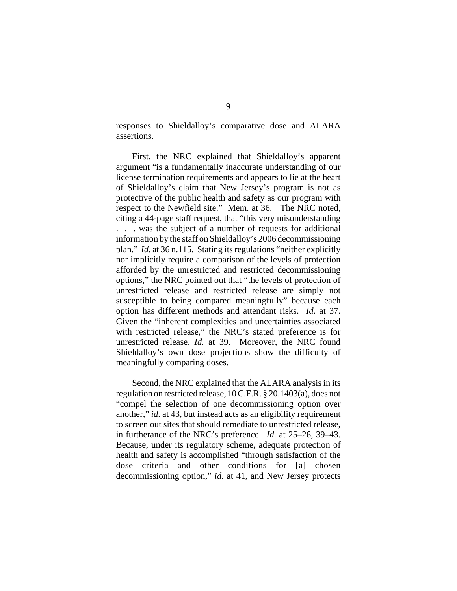responses to Shieldalloy's comparative dose and ALARA assertions.

First, the NRC explained that Shieldalloy's apparent argument "is a fundamentally inaccurate understanding of our license termination requirements and appears to lie at the heart of Shieldalloy's claim that New Jersey's program is not as protective of the public health and safety as our program with respect to the Newfield site." Mem. at 36. The NRC noted, citing a 44-page staff request, that "this very misunderstanding . . . was the subject of a number of requests for additional information by the staff on Shieldalloy's 2006 decommissioning plan." *Id.* at 36 n.115. Stating its regulations "neither explicitly nor implicitly require a comparison of the levels of protection afforded by the unrestricted and restricted decommissioning options," the NRC pointed out that "the levels of protection of unrestricted release and restricted release are simply not susceptible to being compared meaningfully" because each option has different methods and attendant risks. *Id*. at 37. Given the "inherent complexities and uncertainties associated with restricted release," the NRC's stated preference is for unrestricted release. *Id.* at 39. Moreover, the NRC found Shieldalloy's own dose projections show the difficulty of meaningfully comparing doses.

Second, the NRC explained that the ALARA analysis in its regulation on restricted release, 10 C.F.R. § 20.1403(a), does not "compel the selection of one decommissioning option over another," *id*. at 43, but instead acts as an eligibility requirement to screen out sites that should remediate to unrestricted release, in furtherance of the NRC's preference. *Id*. at 25–26, 39–43. Because, under its regulatory scheme, adequate protection of health and safety is accomplished "through satisfaction of the dose criteria and other conditions for [a] chosen decommissioning option," *id.* at 41, and New Jersey protects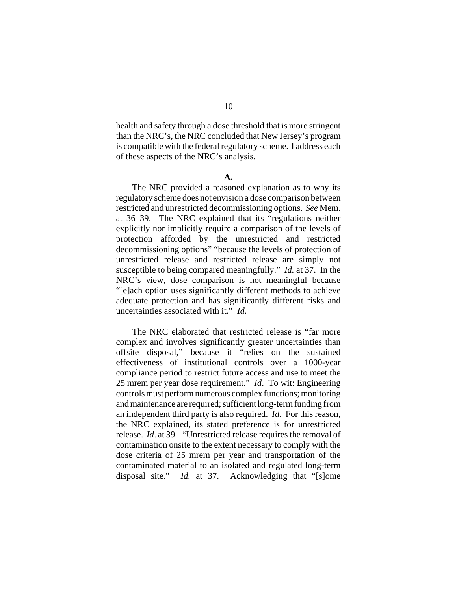health and safety through a dose threshold that is more stringent than the NRC's, the NRC concluded that New Jersey's program is compatible with the federal regulatory scheme. I address each of these aspects of the NRC's analysis.

#### **A.**

The NRC provided a reasoned explanation as to why its regulatory scheme does not envision a dose comparison between restricted and unrestricted decommissioning options. *See* Mem. at 36–39. The NRC explained that its "regulations neither explicitly nor implicitly require a comparison of the levels of protection afforded by the unrestricted and restricted decommissioning options" "because the levels of protection of unrestricted release and restricted release are simply not susceptible to being compared meaningfully." *Id.* at 37. In the NRC's view, dose comparison is not meaningful because "[e]ach option uses significantly different methods to achieve adequate protection and has significantly different risks and uncertainties associated with it." *Id.*

The NRC elaborated that restricted release is "far more complex and involves significantly greater uncertainties than offsite disposal," because it "relies on the sustained effectiveness of institutional controls over a 1000-year compliance period to restrict future access and use to meet the 25 mrem per year dose requirement." *Id*. To wit: Engineering controls must perform numerous complex functions; monitoring and maintenance are required; sufficient long-term funding from an independent third party is also required. *Id*. For this reason, the NRC explained, its stated preference is for unrestricted release. *Id*. at 39. "Unrestricted release requires the removal of contamination onsite to the extent necessary to comply with the dose criteria of 25 mrem per year and transportation of the contaminated material to an isolated and regulated long-term disposal site." *Id.* at 37. Acknowledging that "[s]ome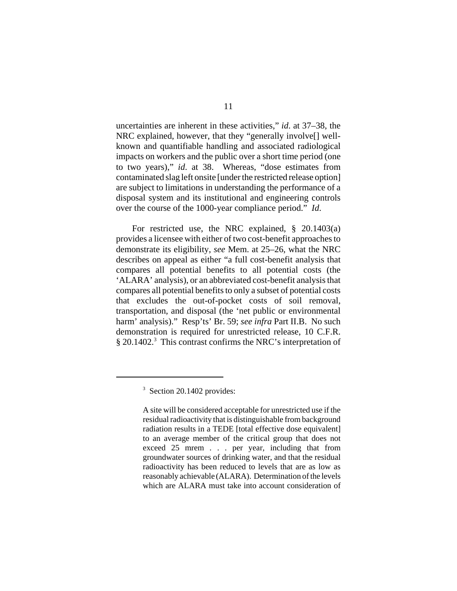uncertainties are inherent in these activities," *id*. at 37–38, the NRC explained, however, that they "generally involve[] wellknown and quantifiable handling and associated radiological impacts on workers and the public over a short time period (one to two years)," *id*. at 38. Whereas, "dose estimates from contaminated slag left onsite [under the restricted release option] are subject to limitations in understanding the performance of a disposal system and its institutional and engineering controls over the course of the 1000-year compliance period." *Id*.

For restricted use, the NRC explained, § 20.1403(a) provides a licensee with either of two cost-benefit approachesto demonstrate its eligibility, *see* Mem. at 25–26, what the NRC describes on appeal as either "a full cost-benefit analysis that compares all potential benefits to all potential costs (the 'ALARA' analysis), or an abbreviated cost-benefit analysisthat compares all potential benefits to only a subset of potential costs that excludes the out-of-pocket costs of soil removal, transportation, and disposal (the 'net public or environmental harm' analysis)." Resp'ts' Br. 59; *see infra* Part II.B. No such demonstration is required for unrestricted release, 10 C.F.R. § 20.1402.<sup>3</sup> This contrast confirms the NRC's interpretation of

<sup>&</sup>lt;sup>3</sup> Section 20.1402 provides:

A site will be considered acceptable for unrestricted use if the residual radioactivity that is distinguishable from background radiation results in a TEDE [total effective dose equivalent] to an average member of the critical group that does not exceed 25 mrem . . . per year, including that from groundwater sources of drinking water, and that the residual radioactivity has been reduced to levels that are as low as reasonably achievable (ALARA). Determination of the levels which are ALARA must take into account consideration of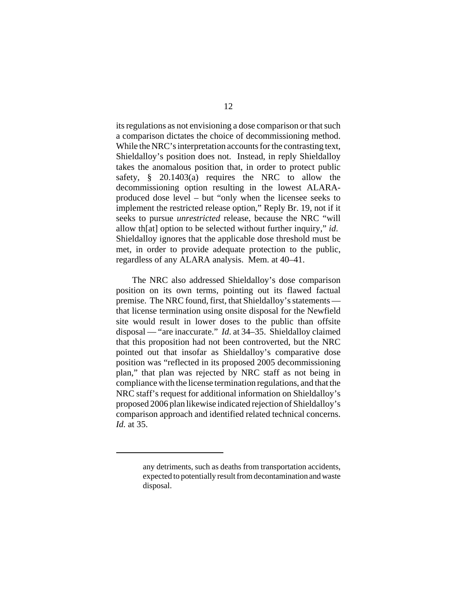its regulations as not envisioning a dose comparison or that such a comparison dictates the choice of decommissioning method. While the NRC's interpretation accounts for the contrasting text, Shieldalloy's position does not. Instead, in reply Shieldalloy takes the anomalous position that, in order to protect public safety, § 20.1403(a) requires the NRC to allow the decommissioning option resulting in the lowest ALARAproduced dose level – but "only when the licensee seeks to implement the restricted release option," Reply Br. 19, not if it seeks to pursue *unrestricted* release, because the NRC "will allow th[at] option to be selected without further inquiry," *id*. Shieldalloy ignores that the applicable dose threshold must be met, in order to provide adequate protection to the public, regardless of any ALARA analysis. Mem. at 40–41.

The NRC also addressed Shieldalloy's dose comparison position on its own terms, pointing out its flawed factual premise. The NRC found, first, that Shieldalloy's statements that license termination using onsite disposal for the Newfield site would result in lower doses to the public than offsite disposal — "are inaccurate." *Id*. at 34–35. Shieldalloy claimed that this proposition had not been controverted, but the NRC pointed out that insofar as Shieldalloy's comparative dose position was "reflected in its proposed 2005 decommissioning plan," that plan was rejected by NRC staff as not being in compliance with the license termination regulations, and that the NRC staff's request for additional information on Shieldalloy's proposed 2006 plan likewise indicated rejection of Shieldalloy's comparison approach and identified related technical concerns. *Id.* at 35.

any detriments, such as deaths from transportation accidents, expected to potentially result from decontamination and waste disposal.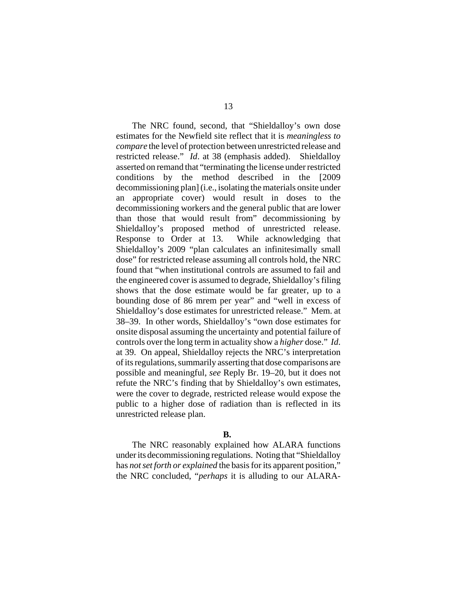The NRC found, second, that "Shieldalloy's own dose estimates for the Newfield site reflect that it is *meaningless to compare* the level of protection between unrestricted release and restricted release." *Id*. at 38 (emphasis added). Shieldalloy asserted on remand that "terminating the license under restricted conditions by the method described in the [2009 decommissioning plan] (i.e., isolating the materials onsite under an appropriate cover) would result in doses to the decommissioning workers and the general public that are lower than those that would result from" decommissioning by Shieldalloy's proposed method of unrestricted release. Response to Order at 13. While acknowledging that Shieldalloy's 2009 "plan calculates an infinitesimally small dose" for restricted release assuming all controls hold, the NRC found that "when institutional controls are assumed to fail and the engineered cover is assumed to degrade, Shieldalloy's filing shows that the dose estimate would be far greater, up to a bounding dose of 86 mrem per year" and "well in excess of Shieldalloy's dose estimates for unrestricted release." Mem. at 38–39. In other words, Shieldalloy's "own dose estimates for onsite disposal assuming the uncertainty and potential failure of controls over the long term in actuality show a *higher* dose." *Id*. at 39. On appeal, Shieldalloy rejects the NRC's interpretation of its regulations, summarily asserting that dose comparisons are possible and meaningful, *see* Reply Br. 19–20, but it does not refute the NRC's finding that by Shieldalloy's own estimates, were the cover to degrade, restricted release would expose the public to a higher dose of radiation than is reflected in its unrestricted release plan.

### **B.**

The NRC reasonably explained how ALARA functions under its decommissioning regulations. Noting that "Shieldalloy has *not set forth or explained* the basis for its apparent position," the NRC concluded, "*perhaps* it is alluding to our ALARA-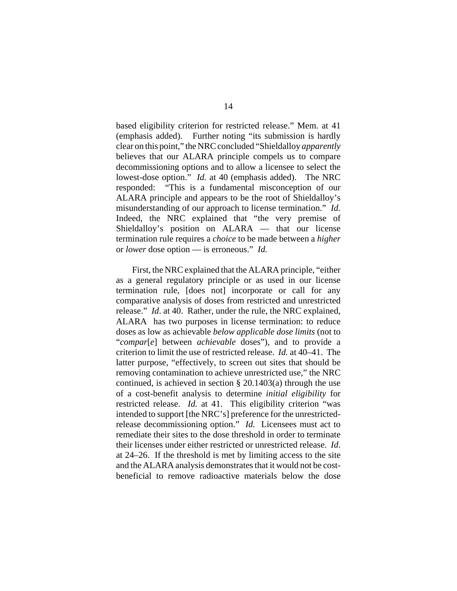based eligibility criterion for restricted release." Mem. at 41 (emphasis added). Further noting "its submission is hardly clear on this point," the NRC concluded "Shieldalloy *apparently* believes that our ALARA principle compels us to compare decommissioning options and to allow a licensee to select the lowest-dose option." *Id.* at 40 (emphasis added). The NRC responded: "This is a fundamental misconception of our ALARA principle and appears to be the root of Shieldalloy's misunderstanding of our approach to license termination." *Id.* Indeed, the NRC explained that "the very premise of Shieldalloy's position on ALARA — that our license termination rule requires a *choice* to be made between a *higher* or *lower* dose option — is erroneous." *Id.*

First, the NRC explained that the ALARA principle, "either as a general regulatory principle or as used in our license termination rule, [does not] incorporate or call for any comparative analysis of doses from restricted and unrestricted release." *Id*. at 40. Rather, under the rule, the NRC explained, ALARA has two purposes in license termination: to reduce doses as low as achievable *below applicable dose limits* (not to "*compar*[*e*] between *achievable* doses"), and to provide a criterion to limit the use of restricted release. *Id.* at 40–41. The latter purpose, "effectively, to screen out sites that should be removing contamination to achieve unrestricted use," the NRC continued, is achieved in section  $\S 20.1403(a)$  through the use of a cost-benefit analysis to determine *initial eligibility* for restricted release. *Id.* at 41. This eligibility criterion "was intended to support [the NRC's] preference for the unrestrictedrelease decommissioning option." *Id.* Licensees must act to remediate their sites to the dose threshold in order to terminate their licenses under either restricted or unrestricted release. *Id*. at 24–26. If the threshold is met by limiting access to the site and the ALARA analysis demonstrates that it would not be costbeneficial to remove radioactive materials below the dose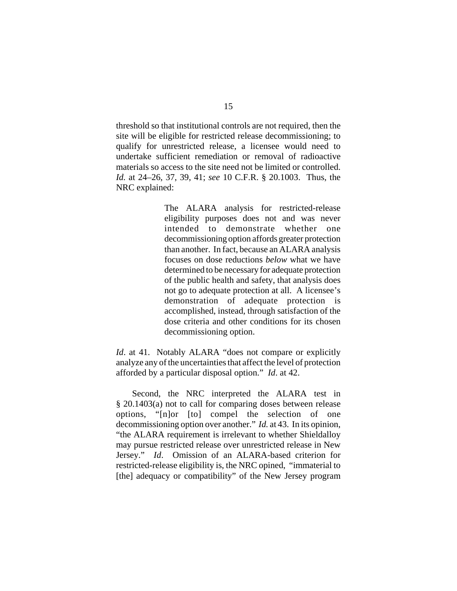threshold so that institutional controls are not required, then the site will be eligible for restricted release decommissioning; to qualify for unrestricted release, a licensee would need to undertake sufficient remediation or removal of radioactive materials so access to the site need not be limited or controlled. *Id.* at 24–26, 37, 39, 41; *see* 10 C.F.R. § 20.1003. Thus, the NRC explained:

> The ALARA analysis for restricted-release eligibility purposes does not and was never intended to demonstrate whether one decommissioning option affords greater protection than another. In fact, because an ALARA analysis focuses on dose reductions *below* what we have determined to be necessary for adequate protection of the public health and safety, that analysis does not go to adequate protection at all. A licensee's demonstration of adequate protection is accomplished, instead, through satisfaction of the dose criteria and other conditions for its chosen decommissioning option.

*Id.* at 41. Notably ALARA "does not compare or explicitly analyze any of the uncertainties that affect the level of protection afforded by a particular disposal option." *Id*. at 42.

Second, the NRC interpreted the ALARA test in § 20.1403(a) not to call for comparing doses between release options, "[n]or [to] compel the selection of one decommissioning option over another." *Id.* at 43. In its opinion, "the ALARA requirement is irrelevant to whether Shieldalloy may pursue restricted release over unrestricted release in New Jersey." *Id*. Omission of an ALARA-based criterion for restricted-release eligibility is, the NRC opined, "immaterial to [the] adequacy or compatibility" of the New Jersey program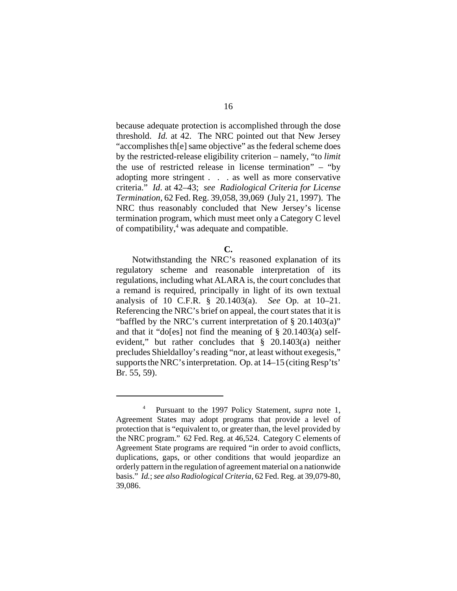because adequate protection is accomplished through the dose threshold. *Id.* at 42. The NRC pointed out that New Jersey "accomplishes th[e] same objective" as the federal scheme does by the restricted-release eligibility criterion – namely, "to *limit* the use of restricted release in license termination" – "by adopting more stringent . . . as well as more conservative criteria." *Id*. at 42–43; *see Radiological Criteria for License Termination*, 62 Fed. Reg. 39,058, 39,069 (July 21, 1997). The NRC thus reasonably concluded that New Jersey's license termination program, which must meet only a Category C level of compatibility, $4$  was adequate and compatible.

Notwithstanding the NRC's reasoned explanation of its regulatory scheme and reasonable interpretation of its regulations, including what ALARA is, the court concludes that a remand is required, principally in light of its own textual analysis of 10 C.F.R. § 20.1403(a). *See* Op. at 10–21. Referencing the NRC's brief on appeal, the court states that it is "baffled by the NRC's current interpretation of § 20.1403(a)" and that it "do[es] not find the meaning of § 20.1403(a) selfevident," but rather concludes that § 20.1403(a) neither precludes Shieldalloy's reading "nor, at least without exegesis," supports the NRC's interpretation. Op. at 14–15 (citing Resp'ts' Br. 55, 59).

**C.**

<sup>4</sup> Pursuant to the 1997 Policy Statement, *supra* note 1, Agreement States may adopt programs that provide a level of protection that is "equivalent to, or greater than, the level provided by the NRC program." 62 Fed. Reg. at 46,524. Category C elements of Agreement State programs are required "in order to avoid conflicts, duplications, gaps, or other conditions that would jeopardize an orderly pattern in the regulation of agreement material on a nationwide basis." *Id.*; *see also Radiological Criteria*, 62 Fed. Reg. at 39,079-80, 39,086.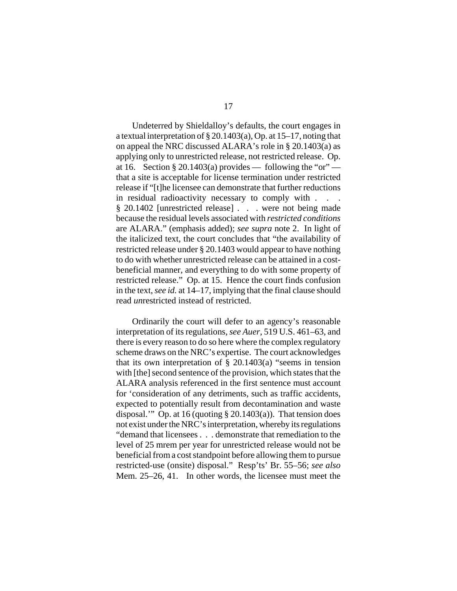Undeterred by Shieldalloy's defaults, the court engages in a textual interpretation of § 20.1403(a), Op. at 15–17, noting that on appeal the NRC discussed ALARA's role in § 20.1403(a) as applying only to unrestricted release, not restricted release. Op. at 16. Section § 20.1403(a) provides — following the "or" that a site is acceptable for license termination under restricted release if "[t]he licensee can demonstrate that further reductions in residual radioactivity necessary to comply with . . . § 20.1402 [unrestricted release] . . . were not being made because the residual levels associated with *restricted conditions* are ALARA." (emphasis added); *see supra* note 2. In light of the italicized text, the court concludes that "the availability of restricted release under § 20.1403 would appear to have nothing to do with whether unrestricted release can be attained in a costbeneficial manner, and everything to do with some property of restricted release." Op. at 15. Hence the court finds confusion in the text, *see id.* at 14–17, implying that the final clause should read *un*restricted instead of restricted.

Ordinarily the court will defer to an agency's reasonable interpretation of its regulations, *see Auer*, 519 U.S. 461–63, and there is every reason to do so here where the complex regulatory scheme draws on the NRC's expertise. The court acknowledges that its own interpretation of  $\S$  20.1403(a) "seems in tension with [the] second sentence of the provision, which states that the ALARA analysis referenced in the first sentence must account for 'consideration of any detriments, such as traffic accidents, expected to potentially result from decontamination and waste disposal." Op. at 16 (quoting  $\S 20.1403(a)$ ). That tension does not exist under the NRC's interpretation, whereby its regulations "demand that licensees . . . demonstrate that remediation to the level of 25 mrem per year for unrestricted release would not be beneficial from a cost standpoint before allowing them to pursue restricted-use (onsite) disposal." Resp'ts' Br. 55–56; *see also* Mem. 25–26, 41. In other words, the licensee must meet the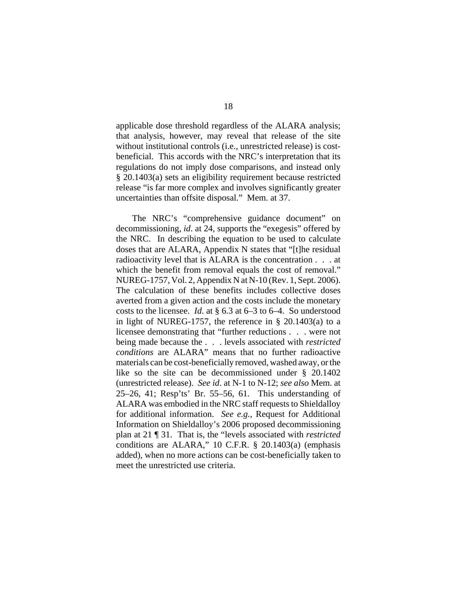applicable dose threshold regardless of the ALARA analysis; that analysis, however, may reveal that release of the site without institutional controls (i.e., unrestricted release) is costbeneficial. This accords with the NRC's interpretation that its regulations do not imply dose comparisons, and instead only § 20.1403(a) sets an eligibility requirement because restricted release "is far more complex and involves significantly greater uncertainties than offsite disposal." Mem. at 37.

The NRC's "comprehensive guidance document" on decommissioning, *id*. at 24, supports the "exegesis" offered by the NRC. In describing the equation to be used to calculate doses that are ALARA, Appendix N states that "[t]he residual radioactivity level that is ALARA is the concentration . . . at which the benefit from removal equals the cost of removal." NUREG-1757, Vol. 2, Appendix N at N-10 (Rev. 1, Sept. 2006). The calculation of these benefits includes collective doses averted from a given action and the costs include the monetary costs to the licensee. *Id*. at § 6.3 at 6–3 to 6–4. So understood in light of NUREG-1757, the reference in § 20.1403(a) to a licensee demonstrating that "further reductions . . . were not being made because the . . . levels associated with *restricted conditions* are ALARA" means that no further radioactive materials can be cost-beneficially removed, washed away, or the like so the site can be decommissioned under § 20.1402 (unrestricted release). *See id*. at N-1 to N-12; *see also* Mem. at 25–26, 41; Resp'ts' Br. 55–56, 61. This understanding of ALARA was embodied in the NRC staff requests to Shieldalloy for additional information. *See e.g.*, Request for Additional Information on Shieldalloy's 2006 proposed decommissioning plan at 21 ¶ 31. That is, the "levels associated with *restricted* conditions are ALARA," 10 C.F.R. § 20.1403(a) (emphasis added), when no more actions can be cost-beneficially taken to meet the unrestricted use criteria.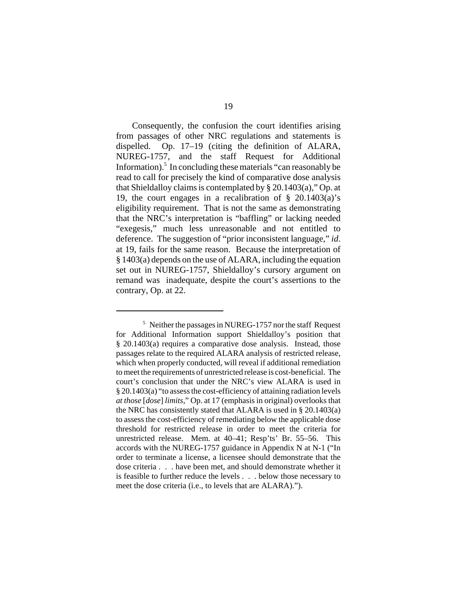Consequently, the confusion the court identifies arising from passages of other NRC regulations and statements is dispelled. Op. 17–19 (citing the definition of ALARA, NUREG-1757, and the staff Request for Additional Information).<sup>5</sup> In concluding these materials "can reasonably be read to call for precisely the kind of comparative dose analysis that Shieldalloy claims is contemplated by § 20.1403(a)," Op. at 19, the court engages in a recalibration of § 20.1403(a)'s eligibility requirement. That is not the same as demonstrating that the NRC's interpretation is "baffling" or lacking needed "exegesis," much less unreasonable and not entitled to deference. The suggestion of "prior inconsistent language," *id*. at 19, fails for the same reason. Because the interpretation of § 1403(a) depends on the use of ALARA, including the equation set out in NUREG-1757, Shieldalloy's cursory argument on remand was inadequate, despite the court's assertions to the contrary, Op. at 22.

<sup>&</sup>lt;sup>5</sup> Neither the passages in NUREG-1757 nor the staff Request for Additional Information support Shieldalloy's position that § 20.1403(a) requires a comparative dose analysis. Instead, those passages relate to the required ALARA analysis of restricted release, which when properly conducted, will reveal if additional remediation to meet the requirements of unrestricted release is cost-beneficial. The court's conclusion that under the NRC's view ALARA is used in § 20.1403(a) "to assess the cost-efficiency of attaining radiation levels *at those* [*dose*] *limits*," Op. at 17 (emphasis in original) overlooks that the NRC has consistently stated that ALARA is used in § 20.1403(a) to assess the cost-efficiency of remediating below the applicable dose threshold for restricted release in order to meet the criteria for unrestricted release. Mem. at 40–41; Resp'ts' Br. 55–56. This accords with the NUREG-1757 guidance in Appendix N at N-1 ("In order to terminate a license, a licensee should demonstrate that the dose criteria . . . have been met, and should demonstrate whether it is feasible to further reduce the levels . . . below those necessary to meet the dose criteria (i.e., to levels that are ALARA).").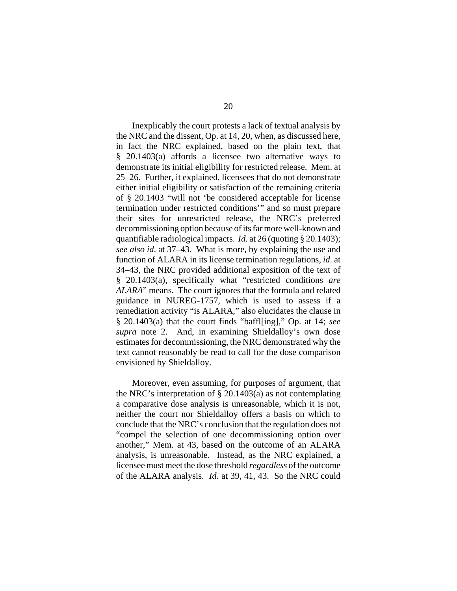Inexplicably the court protests a lack of textual analysis by the NRC and the dissent, Op. at 14, 20, when, as discussed here, in fact the NRC explained, based on the plain text, that § 20.1403(a) affords a licensee two alternative ways to demonstrate its initial eligibility for restricted release. Mem. at 25–26. Further, it explained, licensees that do not demonstrate either initial eligibility or satisfaction of the remaining criteria of § 20.1403 "will not 'be considered acceptable for license termination under restricted conditions'" and so must prepare their sites for unrestricted release, the NRC's preferred decommissioning option because of its far more well-known and quantifiable radiological impacts. *Id*. at 26 (quoting § 20.1403); *see also id*. at 37–43. What is more, by explaining the use and function of ALARA in its license termination regulations, *id*. at 34–43, the NRC provided additional exposition of the text of § 20.1403(a), specifically what "restricted conditions *are ALARA*" means. The court ignores that the formula and related guidance in NUREG-1757, which is used to assess if a remediation activity "is ALARA," also elucidates the clause in § 20.1403(a) that the court finds "baffl[ing]," Op. at 14; *see supra* note 2. And, in examining Shieldalloy's own dose estimates for decommissioning, the NRC demonstrated why the text cannot reasonably be read to call for the dose comparison envisioned by Shieldalloy.

Moreover, even assuming, for purposes of argument, that the NRC's interpretation of § 20.1403(a) as not contemplating a comparative dose analysis is unreasonable, which it is not, neither the court nor Shieldalloy offers a basis on which to conclude that the NRC's conclusion that the regulation does not "compel the selection of one decommissioning option over another," Mem. at 43, based on the outcome of an ALARA analysis, is unreasonable. Instead, as the NRC explained, a licensee must meet the dose threshold *regardless* of the outcome of the ALARA analysis. *Id*. at 39, 41, 43. So the NRC could